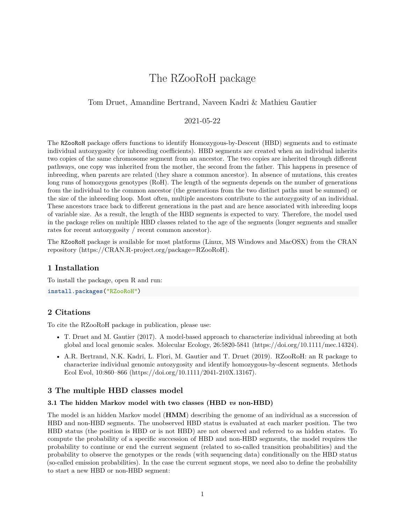# The RZooRoH package

# Tom Druet, Amandine Bertrand, Naveen Kadri & Mathieu Gautier

# 2021-05-22

The RZooRoH package offers functions to identify Homozygous-by-Descent (HBD) segments and to estimate individual autozygosity (or inbreeding coefficients). HBD segments are created when an individual inherits two copies of the same chromosome segment from an ancestor. The two copies are inherited through different pathways, one copy was inherited from the mother, the second from the father. This happens in presence of inbreeding, when parents are related (they share a common ancestor). In absence of mutations, this creates long runs of homozygous genotypes (RoH). The length of the segments depends on the number of generations from the individual to the common ancestor (the generations from the two distinct paths must be summed) or the size of the inbreeding loop. Most often, multiple ancestors contribute to the autozygosity of an individual. These ancestors trace back to different generations in the past and are hence associated with inbreeding loops of variable size. As a result, the length of the HBD segments is expected to vary. Therefore, the model used in the package relies on multiple HBD classes related to the age of the segments (longer segments and smaller rates for recent autozygosity / recent common ancestor).

The RZooRoH package is available for most platforms (Linux, MS Windows and MacOSX) from the CRAN repository [\(https://CRAN.R-project.org/package=RZooRoH\)](https://CRAN.R-project.org/package=RZooRoH).

# **1 Installation**

To install the package, open R and run:

**install.packages**("RZooRoH")

# **2 Citations**

To cite the RZooRoH package in publication, please use:

- T. Druet and M. Gautier (2017). A model-based approach to characterize individual inbreeding at both global and local genomic scales. Molecular Ecology, 26:5820-5841 [\(https://doi.org/10.1111/mec.14324\)](https://doi.org/10.1111/mec.14324).
- A.R. Bertrand, N.K. Kadri, L. Flori, M. Gautier and T. Druet (2019). RZooRoH: an R package to characterize individual genomic autozygosity and identify homozygous-by-descent segments. Methods Ecol Evol, 10:860–866 [\(https://doi.org/10.1111/2041-210X.13167\)](https://doi.org/10.1111/2041-210X.13167).

### **3 The multiple HBD classes model**

#### **3.1 The hidden Markov model with two classes (HBD** *vs* **non-HBD)**

The model is an hidden Markov model (**HMM**) describing the genome of an individual as a succession of HBD and non-HBD segments. The unobserved HBD status is evaluated at each marker position. The two HBD status (the position is HBD or is not HBD) are not observed and referred to as hidden states. To compute the probability of a specific succession of HBD and non-HBD segments, the model requires the probability to continue or end the current segment (related to so-called transition probabilities) and the probability to observe the genotypes or the reads (with sequencing data) conditionally on the HBD status (so-called emission probabilities). In the case the current segment stops, we need also to define the probability to start a new HBD or non-HBD segment: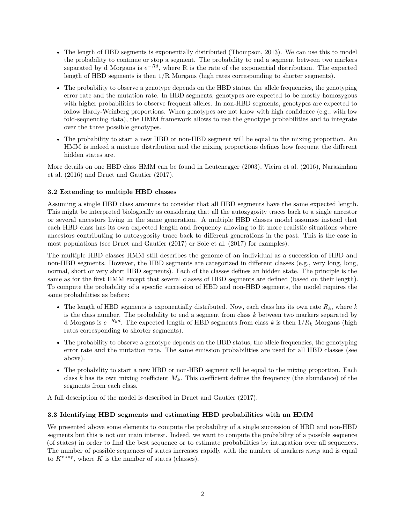- The length of HBD segments is exponentially distributed [\(Thompson, 2013\)](#page-45-0). We can use this to model the probability to continue or stop a segment. The probability to end a segment between two markers separated by d Morgans is  $e^{-Rd}$ , where R is the rate of the exponential distribution. The expected length of HBD segments is then 1/R Morgans (high rates corresponding to shorter segments).
- The probability to observe a genotype depends on the HBD status, the allele frequencies, the genotyping error rate and the mutation rate. In HBD segments, genotypes are expected to be mostly homozygous with higher probabilities to observe frequent alleles. In non-HBD segments, genotypes are expected to follow Hardy-Weinberg proportions. When genotypes are not know with high confidence (e.g., with low fold-sequencing data), the HMM framework allows to use the genotype probabilities and to integrate over the three possible genotypes.
- The probability to start a new HBD or non-HBD segment will be equal to the mixing proportion. An HMM is indeed a mixture distribution and the mixing proportions defines how frequent the different hidden states are.

More details on one HBD class HMM can be found in Leutenegger [\(2003\)](#page-44-0), Vieira et al. [\(2016\)](#page-45-1), Narasimhan et al. [\(2016\)](#page-44-1) and Druet and Gautier [\(2017\)](#page-44-2).

# **3.2 Extending to multiple HBD classes**

Assuming a single HBD class amounts to consider that all HBD segments have the same expected length. This might be interpreted biologically as considering that all the autozygosity traces back to a single ancestor or several ancestors living in the same generation. A multiple HBD classes model assumes instead that each HBD class has its own expected length and frequency allowing to fit more realistic situations where ancestors contributing to autozygosity trace back to different generations in the past. This is the case in most populations (see Druet and Gautier [\(2017\)](#page-44-2) or Sole et al. [\(2017\)](#page-45-2) for examples).

The multiple HBD classes HMM still describes the genome of an individual as a succession of HBD and non-HBD segments. However, the HBD segments are categorized in different classes (e.g., very long, long, normal, short or very short HBD segments). Each of the classes defines an hidden state. The principle is the same as for the first HMM except that several classes of HBD segments are defined (based on their length). To compute the probability of a specific succession of HBD and non-HBD segments, the model requires the same probabilities as before:

- The length of HBD segments is exponentially distributed. Now, each class has its own rate *Rk*, where *k* is the class number. The probability to end a segment from class *k* between two markers separated by d Morgans is *e* −*Rkd* . The expected length of HBD segments from class *k* is then 1*/R<sup>k</sup>* Morgans (high rates corresponding to shorter segments).
- The probability to observe a genotype depends on the HBD status, the allele frequencies, the genotyping error rate and the mutation rate. The same emission probabilities are used for all HBD classes (see above).
- The probability to start a new HBD or non-HBD segment will be equal to the mixing proportion. Each class *k* has its own mixing coefficient *Mk*. This coefficient defines the frequency (the abundance) of the segments from each class.

A full description of the model is described in Druet and Gautier [\(2017\)](#page-44-2).

# **3.3 Identifying HBD segments and estimating HBD probabilities with an HMM**

We presented above some elements to compute the probability of a single succession of HBD and non-HBD segments but this is not our main interest. Indeed, we want to compute the probability of a possible sequence (of states) in order to find the best sequence or to estimate probabilities by integration over all sequences. The number of possible sequences of states increases rapidly with the number of markers *nsnp* and is equal to  $K^{nsnp}$ , where K is the number of states (classes).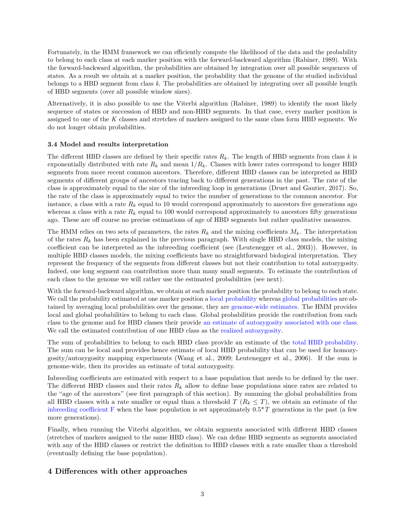Fortunately, in the HMM framework we can efficiently compute the likelihood of the data and the probability to belong to each class at each marker position with the forward-backward algorithm [\(Rabiner, 1989\)](#page-45-3). With the forward-backward algorithm, the probabilities are obtained by integration over all possible sequences of states. As a result we obtain at a marker position, the probability that the genome of the studied individual belongs to a HBD segment from class *k*. The probabilities are obtained by integrating over all possible length of HBD segments (over all possible window sizes).

Alternatively, it is also possible to use the Viterbi algorithm [\(Rabiner, 1989\)](#page-45-3) to identify the most likely sequence of states or succession of HBD and non-HBD segments. In that case, every marker position is assigned to one of the *K* classes and stretches of markers assigned to the same class form HBD segments. We do not longer obtain probabilities.

# **3.4 Model and results interpretation**

The different HBD classes are defined by their specific rates *Rk*. The length of HBD segments from class *k* is exponentially distributed with rate  $R_k$  and mean  $1/R_k$ . Classes with lower rates correspond to longer HBD segments from more recent common ancestors. Therefore, different HBD classes can be interpreted as HBD segments of different groups of ancestors tracing back to different generations in the past. The rate of the class is approximately equal to the size of the inbreeding loop in generations [\(Druet and Gautier, 2017\)](#page-44-2). So, the rate of the class is approximately equal to twice the number of generations to the common ancestor. For instance, a class with a rate  $R_k$  equal to 10 would correspond approximately to ancestors five generations ago whereas a class with a rate  $R_k$  equal to 100 would correspond approximately to ancestors fifty generations ago. These are off course no precise estimations of age of HBD segments but rather qualitative measures.

The HMM relies on two sets of parameters, the rates  $R_k$  and the mixing coefficients  $M_k$ . The interpretation of the rates  $R_k$  has been explained in the previous paragraph. With single HBD class models, the mixing coefficient can be interpreted as the inbreeding coefficient (see [\(Leutenegger et al., 2003\)](#page-44-0)). However, in multiple HBD classes models, the mixing coefficients have no straightforward biological interpretation. They represent the frequency of the segments from different classes but not their contribution to total autozygosity. Indeed, one long segment can contribution more than many small segments. To estimate the contribution of each class to the genome we will rather use the estimated probabilities (see next).

With the forward-backward algorithm, we obtain at each marker position the probability to belong to each state. We call the probability estimated at one marker position a local probability whereas global probabilities are obtained by averaging local probabilities over the genome, they are genome-wide estimates. The HMM provides local and global probabilities to belong to each class. Global probabilities provide the contribution from each class to the genome and for HBD classes their provide an estimate of autozygosity associated with one class. We call the estimated contribution of one HBD class as the realized autozygosity.

The sum of probabilities to belong to each HBD class provide an estimate of the total HBD probability. The sum can be local and provides hence estimate of local HBD probability that can be used for homozygosity/autozygosity mapping experiments [\(Wang et al., 2009;](#page-45-4) [Leutenegger et al., 2006\)](#page-44-3). If the sum is genome-wide, then its provides an estimate of total autozygosity.

Inbreeding coefficients are estimated with respect to a base population that needs to be defined by the user. The different HBD classes and their rates *R<sup>k</sup>* allow to define base populations since rates are related to the "age of the ancestors" (see first paragraph of this section). By summing the global probabilities from all HBD classes with a rate smaller or equal than a threshold  $T$  ( $R_k \leq T$ ), we obtain an estimate of the indicateding coefficient F when the base population is set approximately  $0.5^*T$  generations in the past (a few more generations).

Finally, when running the Viterbi algorithm, we obtain segments associated with different HBD classes (stretches of markers assigned to the same HBD class). We can define HBD segments as segments associated with any of the HBD classes or restrict the definition to HBD classes with a rate smaller than a threshold (eventually defining the base population).

# **4 Differences with other approaches**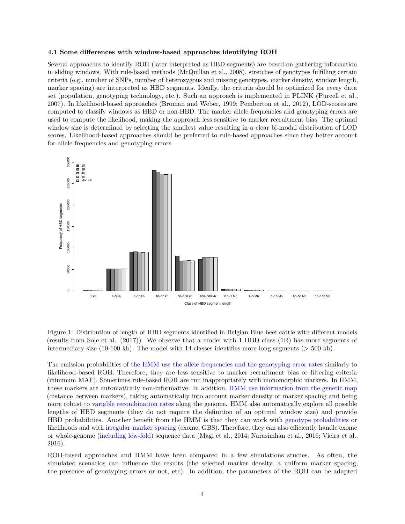#### **4.1 Some differences with window-based approaches identifying ROH**

Several approaches to identify ROH (later interpreted as HBD segments) are based on gathering information in sliding windows. With rule-based methods [\(McQuillan et al., 2008\)](#page-44-4), stretches of genotypes fulfilling certain criteria (e.g., number of SNPs, number of heterozygous and missing genotypes, marker density, window length, marker spacing) are interpreted as HBD segments. Ideally, the criteria should be optimized for every data set (population, genotyping technology, etc.). Such an approach is implemented in PLINK [\(Purcell et al.,](#page-45-5) [2007\)](#page-45-5). In likelihood-based approaches [\(Broman and Weber, 1999;](#page-44-5) [Pemberton et al., 2012\)](#page-45-6), LOD-scores are computed to classify windows as HBD or non-HBD. The marker allele frequencies and genotyping errors are used to compute the likelihood, making the approach less sensitive to marker recruitment bias. The optimal window size is determined by selecting the smallest value resulting in a clear bi-modal distribution of LOD scores. Likelihood-based approaches should be preferred to rule-based approaches since they better account for allele frequencies and genotyping errors.



Figure 1: Distribution of length of HBD segments identified in Belgian Blue beef cattle with different models (results from Sole et al. (2017)). We observe that a model with 1 HBD class (1R) has more segments of intermediary size (10-100 kb). The model with 14 classes identifies more long segments ( $>$  500 kb).

The emission probabilities of the HMM use the allele frequencies and the genotyping error rates similarly to likelihood-based ROH. Therefore, they are less sensitive to marker recruitment bias or filtering criteria (minimum MAF). Sometimes rule-based ROH are run inappropriately with monomorphic markers. In HMM, these markers are automatically non-informative. In addition, HMM use information from the genetic map (distance between markers), taking automatically into account marker density or marker spacing and being more robust to variable recombination rates along the genome. HMM also automatically explore all possible lengths of HBD segments (they do not require the definition of an optimal window size) and provide HBD probabilities. Another benefit from the HMM is that they can work with genotype probabilities or likelihoods and with irregular marker spacing (exome, GBS). Therefore, they can also efficiently handle exome or whole-genome (including low-fold) sequence data [\(Magi et al., 2014;](#page-44-6) [Narasimhan et al., 2016;](#page-44-1) [Vieira et al.,](#page-45-1) [2016\)](#page-45-1).

ROH-based approaches and HMM have been compared in a few simulations studies. As often, the simulated scenarios can influence the results (the selected marker density, a uniform marker spacing, the presence of genotyping errors or not, etc). In addition, the parameters of the ROH can be adapted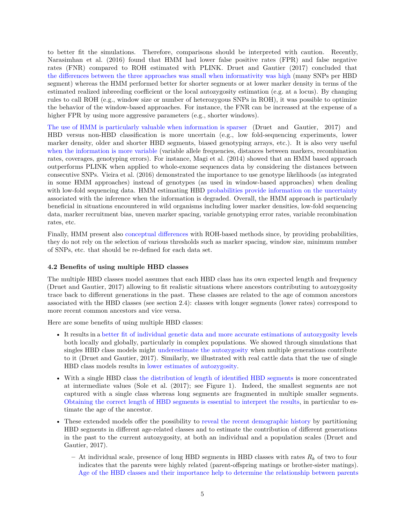to better fit the simulations. Therefore, comparisons should be interpreted with caution. Recently, Narasimhan et al. (2016) found that HMM had lower false positive rates (FPR) and false negative rates (FNR) compared to ROH estimated with PLINK. Druet and Gautier (2017) concluded that the differences between the three approaches was small when informativity was high (many SNPs per HBD segment) whereas the HMM performed better for shorter segments or at lower marker density in terms of the estimated realized inbreeding coefficient or the local autozygosity estimation (e.g. at a locus). By changing rules to call ROH (e.g., window size or number of heterozygous SNPs in ROH), it was possible to optimize the behavior of the window-based approaches. For instance, the FNR can be increased at the expense of a higher FPR by using more aggressive parameters (e.g., shorter windows).

The use of HMM is particularly valuable when information is sparser (Druet and Gautier, 2017) and HBD versus non-HBD classification is more uncertain (e.g., low fold-sequencing experiments, lower marker density, older and shorter HBD segments, biased genotyping arrays, etc.). It is also very useful when the information is more variable (variable allele frequencies, distances between markers, recombination rates, coverages, genotyping errors). For instance, [Magi et al.](#page-44-6) [\(2014\)](#page-44-6) showed that an HMM based approach outperforms PLINK when applied to whole-exome sequences data by considering the distances between consecutive SNPs. Vieira et al. (2016) demonstrated the importance to use genotype likelihoods (as integrated in some HMM approaches) instead of genotypes (as used in window-based approaches) when dealing with low-fold sequencing data. HMM estimating HBD probabilities provide information on the uncertainty associated with the inference when the information is degraded. Overall, the HMM approach is particularly beneficial in situations encountered in wild organisms including lower marker densities, low-fold sequencing data, marker recruitment bias, uneven marker spacing, variable genotyping error rates, variable recombination rates, etc.

Finally, HMM present also conceptual differences with ROH-based methods since, by providing probabilities, they do not rely on the selection of various thresholds such as marker spacing, window size, minimum number of SNPs, etc. that should be re-defined for each data set.

### **4.2 Benefits of using multiple HBD classes**

The multiple HBD classes model assumes that each HBD class has its own expected length and frequency [\(Druet and Gautier, 2017\)](#page-44-2) allowing to fit realistic situations where ancestors contributing to autozygosity trace back to different generations in the past. These classes are related to the age of common ancestors associated with the HBD classes (see section 2.4): classes with longer segments (lower rates) correspond to more recent common ancestors and vice versa.

Here are some benefits of using multiple HBD classes:

- It results in a better fit of individual genetic data and more accurate estimations of autozygosity levels both locally and globally, particularly in complex populations. We showed through simulations that singles HBD class models might underestimate the autozygosity when multiple generations contribute to it [\(Druet and Gautier, 2017\)](#page-44-2). Similarly, we illustrated with real cattle data that the use of single HBD class models results in lower estimates of autozygosity.
- With a single HBD class the distribution of length of identified HBD segments is more concentrated at intermediate values (Sole et al. [\(2017\)](#page-45-2); see Figure 1). Indeed, the smallest segments are not captured with a single class whereas long segments are fragmented in multiple smaller segments. Obtaining the correct length of HBD segments is essential to interpret the results, in particular to estimate the age of the ancestor.
- These extended models offer the possibility to reveal the recent demographic history by partitioning HBD segments in different age-related classes and to estimate the contribution of different generations in the past to the current autozygosity, at both an individual and a population scales [\(Druet and](#page-44-2) [Gautier, 2017\)](#page-44-2).
	- **–** At individual scale, presence of long HBD segments in HBD classes with rates *R<sup>k</sup>* of two to four indicates that the parents were highly related (parent-offspring matings or brother-sister matings). Age of the HBD classes and their importance help to determine the relationship between parents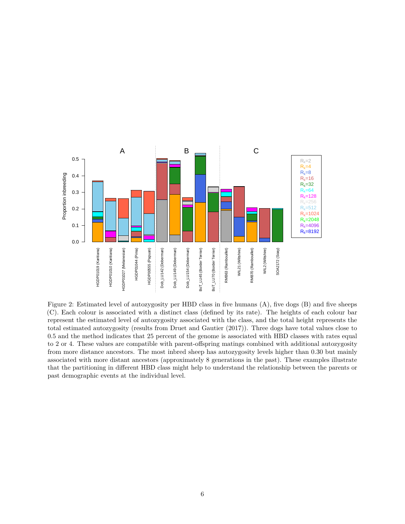

Figure 2: Estimated level of autozygosity per HBD class in five humans (A), five dogs (B) and five sheeps (C). Each colour is associated with a distinct class (defined by its rate). The heights of each colour bar represent the estimated level of autozygosity associated with the class, and the total height represents the total estimated autozygosity (results from Druet and Gautier (2017)). Three dogs have total values close to 0.5 and the method indicates that 25 percent of the genome is associated with HBD classes with rates equal to 2 or 4. These values are compatible with parent-offspring matings combined with additional autozygosity from more distance ancestors. The most inbred sheep has autozygosity levels higher than 0.30 but mainly associated with more distant ancestors (approximately 8 generations in the past). These examples illustrate that the partitioning in different HBD class might help to understand the relationship between the parents or past demographic events at the individual level.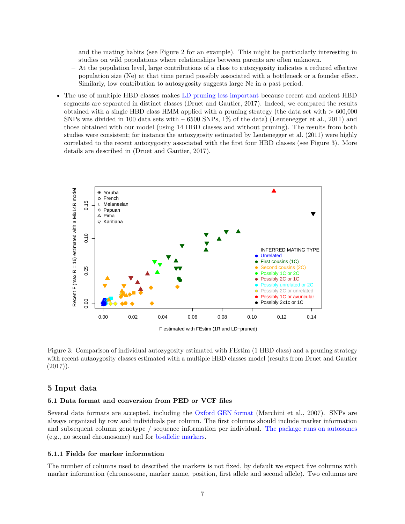and the mating habits (see Figure 2 for an example). This might be particularly interesting in studies on wild populations where relationships between parents are often unknown.

- **–** At the population level, large contributions of a class to autozygosity indicates a reduced effective population size (Ne) at that time period possibly associated with a bottleneck or a founder effect. Similarly, low contribution to autozygosity suggests large Ne in a past period.
- The use of multiple HBD classes makes LD pruning less important because recent and ancient HBD segments are separated in distinct classes [\(Druet and Gautier, 2017\)](#page-44-2). Indeed, we compared the results obtained with a single HBD class HMM applied with a pruning strategy (the data set with  $> 600,000$ SNPs was divided in 100 data sets with  $\sim 6500$  SNPs, 1% of the data) [\(Leutenegger et al., 2011\)](#page-44-7) and those obtained with our model (using 14 HBD classes and without pruning). The results from both studies were consistent; for instance the autozygosity estimated by Leutenegger et al. [\(2011\)](#page-44-7) were highly correlated to the recent autozygosity associated with the first four HBD classes (see Figure 3). More details are described in [\(Druet and Gautier, 2017\)](#page-44-2).



Figure 3: Comparison of individual autozygosity estimated with FEstim (1 HBD class) and a pruning strategy with recent autzoygosity classes estimated with a multiple HBD classes model (results from Druet and Gautier  $(2017)$ .

# **5 Input data**

#### **5.1 Data format and conversion from PED or VCF files**

Several data formats are accepted, including the Oxford GEN format [\(Marchini et al., 2007\)](#page-44-8). SNPs are always organized by row and individuals per column. The first columns should include marker information and subsequent column genotype / sequence information per individual. The package runs on autosomes (e.g., no sexual chromosome) and for bi-allelic markers.

#### **5.1.1 Fields for marker information**

The number of columns used to described the markers is not fixed, by default we expect five columns with marker information (chromosome, marker name, position, first allele and second allele). Two columns are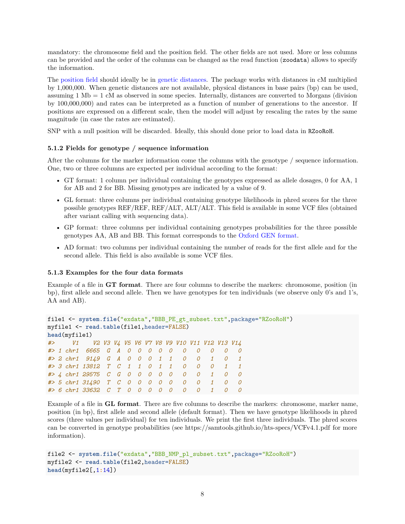mandatory: the chromosome field and the position field. The other fields are not used. More or less columns can be provided and the order of the columns can be changed as the read function (zoodata) allows to specify the information.

The position field should ideally be in genetic distances. The package works with distances in cM multiplied by 1,000,000. When genetic distances are not available, physical distances in base pairs (bp) can be used, assuming 1 Mb = 1 cM as observed in some species. Internally, distances are converted to Morgans (division by 100,000,000) and rates can be interpreted as a function of number of generations to the ancestor. If positions are expressed on a different scale, then the model will adjust by rescaling the rates by the same magnitude (in case the rates are estimated).

SNP with a null position will be discarded. Ideally, this should done prior to load data in RZooRoH.

# **5.1.2 Fields for genotype / sequence information**

After the columns for the marker information come the columns with the genotype / sequence information. One, two or three columns are expected per individual according to the format:

- GT format: 1 column per individual containing the genotypes expressed as allele dosages, 0 for AA, 1 for AB and 2 for BB. Missing genotypes are indicated by a value of 9.
- GL format: three columns per individual containing genotype likelihoods in phred scores for the three possible genotypes REF/REF, REF/ALT, ALT/ALT. This field is available in some VCF files (obtained after variant calling with sequencing data).
- GP format: three columns per individual containing genotypes probabilities for the three possible genotypes AA, AB and BB. This format corresponds to the Oxford GEN format.
- AD format: two columns per individual containing the number of reads for the first allele and for the second allele. This field is also available is some VCF files.

### **5.1.3 Examples for the four data formats**

Example of a file in **GT format**. There are four columns to describe the markers: chromosome, position (in bp), first allele and second allele. Then we have genotypes for ten individuals (we observe only 0's and 1's, AA and AB).

```
file1 <- system.file("exdata","BBB_PE_gt_subset.txt",package="RZooRoH")
myfile1 <- read.table(file1,header=FALSE)
head(myfile1)
#> V1 V2 V3 V4 V5 V6 V7 V8 V9 V10 V11 V12 V13 V14
#> 1 chr1 6665 G A 0 0 0 0 0 0 0 0 0 0
#> 2 chr1 9149 G A 0 0 0 1 1 0 0 1 0 1
#> 3 chr1 13812 T C 1 1 0 1 1 0 0 0 1 1
#> 4 chr1 29575 C G 0 0 0 0 0 0 0 1 0 0
#> 5 chr1 31490 T C 0 0 0 0 0 0 0 1 0 0
#> 6 chr1 33632 C T 0 0 0 0 0 0 0 1 0 0
```
Example of a file in **GL format**. There are five columns to describe the markers: chromosome, marker name, position (in bp), first allele and second allele (default format). Then we have genotype likelihoods in phred scores (three values per individual) for ten individuals. We print the first three individuals. The phred scores can be converted in genotype probabilities (see<https://samtools.github.io/hts-specs/VCFv4.1.pdf> for more information).

```
file2 <- system.file("exdata","BBB_NMP_pl_subset.txt",package="RZooRoH")
myfile2 <- read.table(file2,header=FALSE)
head(myfile2[,1:14])
```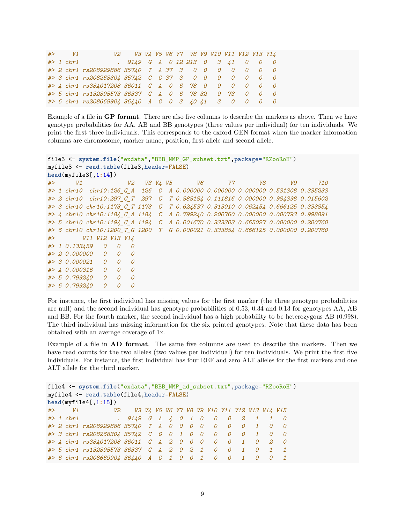|  | $#$ > $V1$ |                                                       | V2 V3 V4 V5 V6 V7 V8 V9 V10 V11 V12 V13 V14 |  |  |  |  |  |  |
|--|------------|-------------------------------------------------------|---------------------------------------------|--|--|--|--|--|--|
|  |            | #> 1 chr1 . 9149 G A 0 12 213 0 3 41 0 0 0            |                                             |  |  |  |  |  |  |
|  |            | #> 2 chr1 rs208929886 35740 T A 37 3 0 0 0 0 0 0 0 0  |                                             |  |  |  |  |  |  |
|  |            | #> 3 chr1 rs208268304 35742 C G 37 3 0 0 0 0 0 0 0 0  |                                             |  |  |  |  |  |  |
|  |            | #> 4 chr1 rs384017208 36011 G A 0 6 78 0 0 0 0 0 0 0  |                                             |  |  |  |  |  |  |
|  |            | #> 5 chr1 rs132895573 36337 G A 0 6 78 32 0 73 0 0 0  |                                             |  |  |  |  |  |  |
|  |            | #> 6 chr1 rs208669904 36440 A G 0 3 40 41 3 0 0 0 0 0 |                                             |  |  |  |  |  |  |

Example of a file in **GP format**. There are also five columns to describe the markers as above. Then we have genotype probabilities for AA, AB and BB genotypes (three values per individual) for ten individuals. We print the first three individuals. This corresponds to the oxford GEN format when the marker information columns are chromosome, marker name, position, first allele and second allele.

```
file3 <- system.file("exdata","BBB_NMP_GP_subset.txt",package="RZooRoH")
myfile3 <- read.table(file3,header=FALSE)
head(myfile3[,1:14])
#> V1 V2 V3 V4 V5 V6 V7 V8 V9 V10
#> 1 chr10 chr10:126_G_A 126 G A 0.000000 0.000000 0.000000 0.531308 0.335233
#> 2 chr10 chr10:297_C_T 297 C T 0.888184 0.111816 0.000000 0.984398 0.015602
#> 3 chr10 chr10:1173_C_T 1173 C T 0.624537 0.313010 0.062454 0.666125 0.333854
#> 4 chr10 chr10:1184_C_A 1184 C A 0.799240 0.200760 0.000000 0.000793 0.998891
#> 5 chr10 chr10:1194_C_A 1194 C A 0.001670 0.333303 0.665027 0.000000 0.200760
#> 6 chr10 chr10:1200_T_G 1200 T G 0.000021 0.333854 0.666125 0.000000 0.200760
#> V11 V12 V13 V14
#> 1 0.133459 0 0 0
#> 2 0.000000 0 0 0
```
*#> 3 0.000021 0 0 0 #> 4 0.000316 0 0 0 #> 5 0.799240 0 0 0 #> 6 0.799240 0 0 0*

For instance, the first individual has missing values for the first marker (the three genotype probabilities are null) and the second individual has genotype probabilities of 0.53, 0.34 and 0.13 for genotypes AA, AB and BB. For the fourth marker, the second individual has a high probability to be heterozygous AB (0.998). The third individual has missing information for the six printed genotypes. Note that these data has been obtained with an average coverage of 1x.

Example of a file in **AD format**. The same five columns are used to describe the markers. Then we have read counts for the two alleles (two values per individual) for ten individuals. We print the first five individuals. For instance, the first individual has four REF and zero ALT alleles for the first markers and one ALT allele for the third marker.

```
file4 <- system.file("exdata","BBB_NMP_ad_subset.txt",package="RZooRoH")
myfile4 <- read.table(file4,header=FALSE)
head(myfile4[,1:15])
#> V1 V2 V3 V4 V5 V6 V7 V8 V9 V10 V11 V12 V13 V14 V15
#> 1 chr1 . 9149 G A 4 0 1 0 0 0 2 1 1 0
#> 2 chr1 rs208929886 35740 T A 0 0 0 0 0 0 0 1 0 0
#> 3 chr1 rs208268304 35742 C G 0 1 0 0 0 0 0 1 0 0
#> 4 chr1 rs384017208 36011 G A 2 0 0 0 0 0 1 0 2 0
#> 5 chr1 rs132895573 36337 G A 2 0 2 1 0 0 1 0 1 1
#> 6 chr1 rs208669904 36440 A G 1 0 0 1 0 0 1 0 0 1
```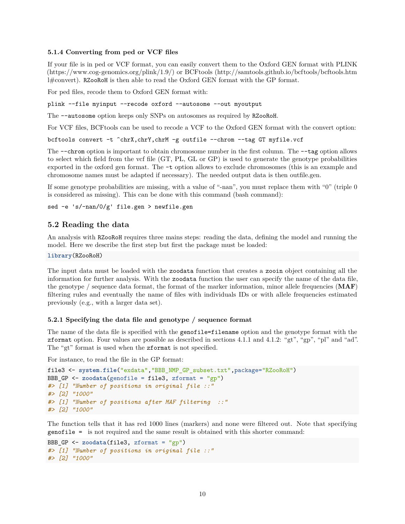#### **5.1.4 Converting from ped or VCF files**

If your file is in ped or VCF format, you can easily convert them to the Oxford GEN format with PLINK [\(https://www.cog-genomics.org/plink/1.9/\)](https://www.cog-genomics.org/plink/1.9/) or BCFtools [\(http://samtools.github.io/bcftools/bcftools.htm](http://samtools.github.io/bcftools/bcftools.html#convert) [l#convert\)](http://samtools.github.io/bcftools/bcftools.html#convert). RZooRoH is then able to read the Oxford GEN format with the GP format.

For ped files, recode them to Oxford GEN format with:

plink --file myinput --recode oxford --autosome --out myoutput

The --autosome option keeps only SNPs on autosomes as required by RZooRoH.

For VCF files, BCFtools can be used to recode a VCF to the Oxford GEN format with the convert option:

bcftools convert -t ^chrX,chrY,chrM -g outfile --chrom --tag GT myfile.vcf

The --chrom option is important to obtain chromosome number in the first column. The --tag option allows to select which field from the vcf file (GT, PL, GL or GP) is used to generate the genotype probabilities exported in the oxford gen format. The -t option allows to exclude chromosomes (this is an example and chromosome names must be adapted if necessary). The needed output data is then outfile.gen.

If some genotype probabilities are missing, with a value of "-nan", you must replace them with "0" (triple 0 is considered as missing). This can be done with this command (bash command):

sed -e 's/-nan/0/g' file.gen > newfile.gen

### **5.2 Reading the data**

An analysis with RZooRoH requires three mains steps: reading the data, defining the model and running the model. Here we describe the first step but first the package must be loaded:

**library**(RZooRoH)

The input data must be loaded with the zoodata function that creates a zooin object containing all the information for further analysis. With the zoodata function the user can specify the name of the data file, the genotype / sequence data format, the format of the marker information, minor allele frequencies (**MAF**) filtering rules and eventually the name of files with individuals IDs or with allele frequencies estimated previously (e.g., with a larger data set).

#### **5.2.1 Specifying the data file and genotype / sequence format**

The name of the data file is specified with the genofile=filename option and the genotype format with the zformat option. Four values are possible as described in sections 4.1.1 and 4.1.2: "gt", "gp", "pl" and "ad". The "gt" format is used when the zformat is not specified.

For instance, to read the file in the GP format:

```
file3 <- system.file("exdata","BBB_NMP_GP_subset.txt",package="RZooRoH")
BBB_GP <- zoodata(genofile = file3, zformat = "gp")
#> [1] "Number of positions in original file ::"
#> [2] "1000"
#> [1] "Number of positions after MAF filtering ::"
#> [2] "1000"
```
The function tells that it has red 1000 lines (markers) and none were filtered out. Note that specifying genofile = is not required and the same result is obtained with this shorter command:

```
BBB_GP <- zoodata(file3, zformat = "gp")
#> [1] "Number of positions in original file ::"
#> [2] "1000"
```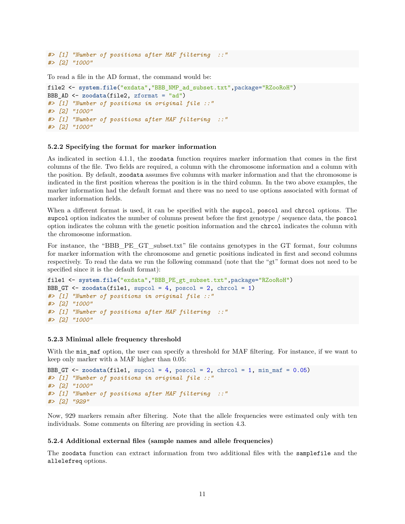```
#> [1] "Number of positions after MAF filtering
#> [2] "1000"
```
To read a file in the AD format, the command would be:

```
file2 <- system.file("exdata","BBB_NMP_ad_subset.txt",package="RZooRoH")
BBB_AD <- zoodata(file2, zformat = "ad")
#> [1] "Number of positions in original file ::"
#> [2] "1000"
#> [1] "Number of positions after MAF filtering ::"
#> [2] "1000"
```
#### **5.2.2 Specifying the format for marker information**

As indicated in section 4.1.1, the zoodata function requires marker information that comes in the first columns of the file. Two fields are required, a column with the chromosome information and a column with the position. By default, zoodata assumes five columns with marker information and that the chromosome is indicated in the first position whereas the position is in the third column. In the two above examples, the marker information had the default format and there was no need to use options associated with format of marker information fields.

When a different format is used, it can be specified with the supcol, poscol and chroal options. The supcol option indicates the number of columns present before the first genotype / sequence data, the poscol option indicates the column with the genetic position information and the chrcol indicates the column with the chromosome information.

For instance, the "BBB\_PE\_GT\_subset.txt" file contains genotypes in the GT format, four columns for marker information with the chromosome and genetic positions indicated in first and second columns respectively. To read the data we run the following command (note that the "gt" format does not need to be specified since it is the default format):

```
file1 <- system.file("exdata","BBB_PE_gt_subset.txt",package="RZooRoH")
BBB GT \leq zoodata(file1, supcol = 4, poscol = 2, chrcol = 1)
#> [1] "Number of positions in original file ::"
#> [2] "1000"
#> [1] "Number of positions after MAF filtering ::"
#> [2] "1000"
```
#### **5.2.3 Minimal allele frequency threshold**

With the min\_maf option, the user can specify a threshold for MAF filtering. For instance, if we want to keep only marker with a MAF higher than 0.05:

```
BBB_GT \le zoodata(file1, supcol = 4, poscol = 2, chrcol = 1, min_maf = 0.05)
#> [1] "Number of positions in original file ::"
#> [2] "1000"
#> [1] "Number of positions after MAF filtering ::"
#> [2] "929"
```
Now, 929 markers remain after filtering. Note that the allele frequencies were estimated only with ten individuals. Some comments on filtering are providing in section 4.3.

#### **5.2.4 Additional external files (sample names and allele frequencies)**

The zoodata function can extract information from two additional files with the samplefile and the allelefreq options.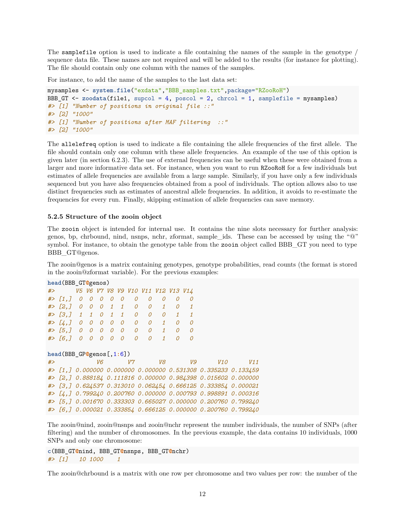The samplefile option is used to indicate a file containing the names of the sample in the genotype / sequence data file. These names are not required and will be added to the results (for instance for plotting). The file should contain only one column with the names of the samples.

For instance, to add the name of the samples to the last data set:

```
mysamples <- system.file("exdata","BBB_samples.txt",package="RZooRoH")
BBB<sub>-</sub>GT \le zoodata(file1, supcol = 4, poscol = 2, chrcol = 1, samplefile = mysamples)
#> [1] "Number of positions in original file ::"
#> [2] "1000"
#> [1] "Number of positions after MAF filtering ::"
#> [2] "1000"
```
The allelefreq option is used to indicate a file containing the allele frequencies of the first allele. The file should contain only one column with these allele frequencies. An example of the use of this option is given later (in section 6.2.3). The use of external frequencies can be useful when these were obtained from a larger and more informative data set. For instance, when you want to run RZooRoH for a few individuals but estimates of allele frequencies are available from a large sample. Similarly, if you have only a few individuals sequenced but you have also frequencies obtained from a pool of individuals. The option allows also to use distinct frequencies such as estimates of ancestral allele frequencies. In addition, it avoids to re-estimate the frequencies for every run. Finally, skipping estimation of allele frequencies can save memory.

#### **5.2.5 Structure of the zooin object**

The zooin object is intended for internal use. It contains the nine slots necessary for further analysis: genos, bp, chrbound, nind, nsnps, nchr, zformat, sample\_ids. These can be accessed by using the "@" symbol. For instance, to obtain the genotype table from the zooin object called BBB GT you need to type BBB\_GT@genos.

The zooin@genos is a matrix containing genotypes, genotype probabilities, read counts (the format is stored in the zooin@zformat variable). For the previous examples:

|    | head (BBB GTOgenos)         |                |                |                               |                |                          |          |                                    |              |                |                |                                                               |     |  |
|----|-----------------------------|----------------|----------------|-------------------------------|----------------|--------------------------|----------|------------------------------------|--------------|----------------|----------------|---------------------------------------------------------------|-----|--|
| #> |                             |                |                |                               |                |                          |          | V5 V6 V7 V8 V9 V10 V11 V12 V13 V14 |              |                |                |                                                               |     |  |
|    | # > [1,]                    | 0              | 0              | 0                             | 0              | 0                        | 0        | 0                                  | 0            | 0              | 0              |                                                               |     |  |
|    | $#$ [2, ] 0                 |                | $\overline{O}$ | $0 \quad 1 \quad 1$           |                |                          | 0        | $\overline{O}$                     | 1            | $\overline{O}$ | $\mathbf{1}$   |                                                               |     |  |
|    | $#$ [3,] 1 1 0 1 1          |                |                |                               |                |                          | 0        | $\overline{O}$                     | $\Omega$     | $\mathcal I$   | $\mathbf{1}$   |                                                               |     |  |
|    | $#$ [4, ] 0                 |                | $\overline{O}$ | $\overline{O}$                | $\overline{O}$ | $\overline{\mathcal{O}}$ | 0        | $\overline{O}$                     | $\mathbf{1}$ | 0              | 0              |                                                               |     |  |
|    | $#$ [5,] 0                  |                | $\overline{O}$ | $\overline{O}$ $\overline{O}$ |                | $\overline{\mathcal{O}}$ | 0        | $\overline{O}$                     | $\mathbf{1}$ | $\overline{O}$ | $\overline{O}$ |                                                               |     |  |
|    | # > [6,]                    | $\overline{O}$ | $\Omega$       | $\overline{O}$                | $\Omega$       | $\Omega$                 | $\Omega$ | $\Omega$                           | $\mathcal I$ | $\Omega$       | $\Omega$       |                                                               |     |  |
|    |                             |                |                |                               |                |                          |          |                                    |              |                |                |                                                               |     |  |
|    | $head(BBB_GP@genos[, 1:6])$ |                |                |                               |                |                          |          |                                    |              |                |                |                                                               |     |  |
| #> |                             |                |                | V6                            |                |                          | V7       |                                    | V8           |                | V9             | V10                                                           | V11 |  |
|    |                             |                |                |                               |                |                          |          |                                    |              |                |                | #> [1,] 0.000000 0.000000 0.000000 0.531308 0.335233 0.133459 |     |  |
|    |                             |                |                |                               |                |                          |          |                                    |              |                |                | #> [2,] 0.888184 0.111816 0.000000 0.984398 0.015602 0.000000 |     |  |
|    |                             |                |                |                               |                |                          |          |                                    |              |                |                | #> [3,] 0.624537 0.313010 0.062454 0.666125 0.333854 0.000021 |     |  |
|    |                             |                |                |                               |                |                          |          |                                    |              |                |                | #> [4,] 0.799240 0.200760 0.000000 0.000793 0.998891 0.000316 |     |  |
|    |                             |                |                |                               |                |                          |          |                                    |              |                |                | #> [5,] 0.001670 0.333303 0.665027 0.000000 0.200760 0.799240 |     |  |
|    |                             |                |                |                               |                |                          |          |                                    |              |                |                | #> [6,] 0.000021 0.333854 0.666125 0.000000 0.200760 0.799240 |     |  |

The zooin@nind, zooin@nsnps and zooin@nchr represent the number individuals, the number of SNPs (after filtering) and the number of chromosomes. In the previous example, the data contains 10 individuals, 1000 SNPs and only one chromosome:

```
c(BBB_GT@nind, BBB_GT@nsnps, BBB_GT@nchr)
#> [1] 10 1000 1
```
The zooin@chrbound is a matrix with one row per chromosome and two values per row: the number of the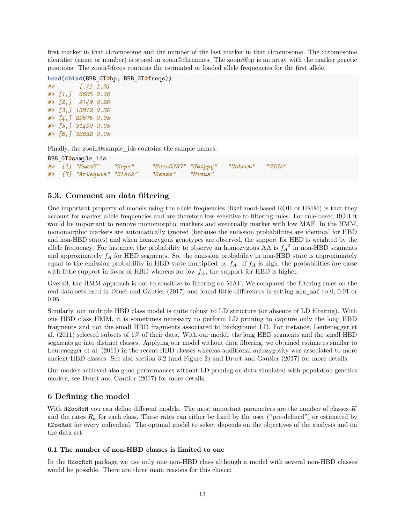first marker in that chromosome and the number of the last marker in that chromosome. The chromosome identifier (name or number) is stored in zooin@chrnames. The zooin@bp is an array with the marker genetic positions. The zooin@freqs contains the estimated or loaded allele frequencies for the first allele.

```
head(cbind(BBB_GT@bp, BBB_GT@freqs))
#> [,1] [,2]
#> [1,] 6665 0.00
```
*#> [2,] 9149 0.20 #> [3,] 13812 0.30 #> [4,] 29575 0.05 #> [5,] 31490 0.05 #> [6,] 33632 0.05*

Finally, the zooin@sample\_ids contains the sample names:

```
BBB_GT@sample_ids
#> [1] "Maxx7" "Kopi" "Ever5337" "Skippy" "Unkown" "GIGA"
#> [7] "Arlequin" "Black" "Kenza" "Minus"
```
# **5.3. Comment on data filtering**

One important property of models using the allele frequencies (likelihood-based ROH or HMM) is that they account for marker allele frequencies and are therefore less sensitive to filtering rules. For rule-based ROH it would be important to remove monomorphic markers and eventually marker with low MAF. In the HMM, monomorphic markers are automatically ignored (because the emission probabilities are identical for HBD and non-HBD states) and when homozygous genotypes are observed, the support for HBD is weighted by the allele frequency. For instance, the probability to observe an homozygous AA is  $f_A^2$  in non-HBD segments and approximately *f<sup>A</sup>* for HBD segments. So, the emission probability in non-HBD state is approximately equal to the emission probability in HBD state multiplied by  $f_A$ . If  $f_A$  is high, the probabilities are close with little support in favor of HBD whereas for low  $f_A$ , the support for HBD is higher.

Overall, the HMM approach is not to sensitive to filtering on MAF. We compared the filtering rules on the real data sets used in [Druet and Gautier](#page-44-2) [\(2017\)](#page-44-2) and found little differences in setting min\_maf to 0, 0.01 or 0.05.

Similarly, our multiple HBD class model is quite robust to LD structure (or absence of LD filtering). With one HBD class HMM, it is sometimes necessary to perform LD pruning to capture only the long HBD fragments and not the small HBD fragments associated to background LD. For instance, Leutenegger et al. [\(2011\)](#page-44-7) selected subsets of 1% of their data. With our model, the long HBD segments and the small HBD segments go into distinct classes. Applying our model without data filtering, we obtained estimates similar to Leutenegger et al. [\(2011\)](#page-44-7) in the recent HBD classes whereas additional autozygosity was associated to more ancient HBD classes. See also section 3.2 (and Figure 2) and [Druet and Gautier](#page-44-2) [\(2017\)](#page-44-2) for more details.

Our models achieved also good performances without LD pruning on data simulated with population genetics models, see [Druet and Gautier](#page-44-2) [\(2017\)](#page-44-2) for more details.

# **6 Defining the model**

With RZooRoH you can define different models. The most important parameters are the number of classes *K* and the rates  $R_k$  for each class. These rates can either be fixed by the user ("pre-defined") or estimated by RZooRoH for every individual. The optimal model to select depends on the objectives of the analysis and on the data set.

# **6.1 The number of non-HBD classes is limited to one**

In the RZooRoH package we use only one non-HBD class although a model with several non-HBD classes would be possible. There are three main reasons for this choice: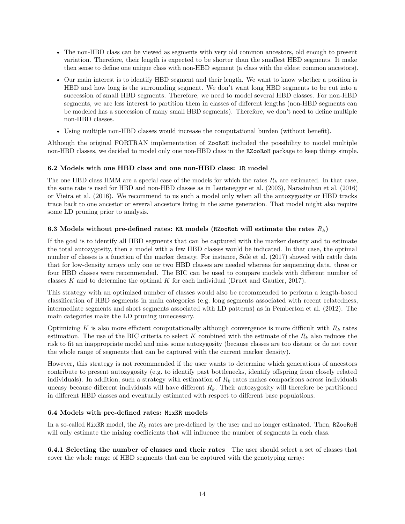- The non-HBD class can be viewed as segments with very old common ancestors, old enough to present variation. Therefore, their length is expected to be shorter than the smallest HBD segments. It make then sense to define one unique class with non-HBD segment (a class with the eldest common ancestors).
- Our main interest is to identify HBD segment and their length. We want to know whether a position is HBD and how long is the surrounding segment. We don't want long HBD segments to be cut into a succession of small HBD segments. Therefore, we need to model several HBD classes. For non-HBD segments, we are less interest to partition them in classes of different lengths (non-HBD segments can be modeled has a succession of many small HBD segments). Therefore, we don't need to define multiple non-HBD classes.
- Using multiple non-HBD classes would increase the computational burden (without benefit).

Although the original FORTRAN implementation of ZooRoH included the possibility to model multiple non-HBD classes, we decided to model only one non-HBD class in the RZooRoH package to keep things simple.

# **6.2 Models with one HBD class and one non-HBD class: 1R model**

The one HBD class HMM are a special case of the models for which the rates  $R_k$  are estimated. In that case, the same rate is used for HBD and non-HBD classes as in Leutenegger et al. [\(2003\)](#page-44-0), Narasimhan et al. [\(2016\)](#page-44-1) or Vieira et al. [\(2016\)](#page-45-1). We recommend to us such a model only when all the autozygosity or HBD tracks trace back to one ancestor or several ancestors living in the same generation. That model might also require some LD pruning prior to analysis.

# **6.3 Models without pre-defined rates: KR models (RZooRoh will estimate the rates** *Rk***)**

If the goal is to identify all HBD segments that can be captured with the marker density and to estimate the total autozygosity, then a model with a few HBD classes would be indicated. In that case, the optimal number of classes is a function of the marker density. For instance, [Solé et al.](#page-45-2) [\(2017\)](#page-45-2) showed with cattle data that for low-density arrays only one or two HBD classes are needed whereas for sequencing data, three or four HBD classes were recommended. The BIC can be used to compare models with different number of classes *K* and to determine the optimal *K* for each individual [\(Druet and Gautier, 2017\)](#page-44-2).

This strategy with an optimized number of classes would also be recommended to perform a length-based classification of HBD segments in main categories (e.g. long segments associated with recent relatedness, intermediate segments and short segments associated with LD patterns) as in [Pemberton et al.](#page-45-6) [\(2012\)](#page-45-6). The main categories make the LD pruning unnecessary.

Optimizing *K* is also more efficient computationally although convergence is more difficult with  $R_k$  rates estimation. The use of the BIC criteria to select *K* combined with the estimate of the *R<sup>k</sup>* also reduces the risk to fit an inappropriate model and miss some autozygosity (because classes are too distant or do not cover the whole range of segments that can be captured with the current marker density).

However, this strategy is not recommended if the user wants to determine which generations of ancestors contribute to present autozygosity (e.g. to identify past bottlenecks, identify offspring from closely related individuals). In addition, such a strategy with estimation of *R<sup>k</sup>* rates makes comparisons across individuals uneasy because different individuals will have different *Rk*. Their autozygosity will therefore be partitioned in different HBD classes and eventually estimated with respect to different base populations.

### **6.4 Models with pre-defined rates: MixKR models**

In a so-called MixKR model, the *R<sup>k</sup>* rates are pre-defined by the user and no longer estimated. Then, RZooRoH will only estimate the mixing coefficients that will influence the number of segments in each class.

**6.4.1 Selecting the number of classes and their rates** The user should select a set of classes that cover the whole range of HBD segments that can be captured with the genotyping array: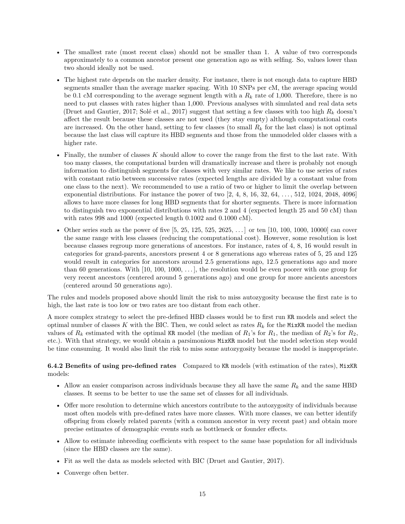- The smallest rate (most recent class) should not be smaller than 1. A value of two corresponds approximately to a common ancestor present one generation ago as with selfing. So, values lower than two should ideally not be used.
- The highest rate depends on the marker density. For instance, there is not enough data to capture HBD segments smaller than the average marker spacing. With 10 SNPs per cM, the average spacing would be 0.1 cM corresponding to the average segment length with a *R<sup>k</sup>* rate of 1,000. Therefore, there is no need to put classes with rates higher than 1,000. Previous analyses with simulated and real data sets [\(Druet and Gautier, 2017;](#page-44-2) [Solé et al., 2017\)](#page-45-2) suggest that setting a few classes with too high *R<sup>k</sup>* doesn't affect the result because these classes are not used (they stay empty) although computational costs are increased. On the other hand, setting to few classes (to small  $R_k$  for the last class) is not optimal because the last class will capture its HBD segments and those from the unmodeled older classes with a higher rate.
- Finally, the number of classes *K* should allow to cover the range from the first to the last rate. With too many classes, the computational burden will dramatically increase and there is probably not enough information to distinguish segments for classes with very similar rates. We like to use series of rates with constant ratio between successive rates (expected lengths are divided by a constant value from one class to the next). We recommended to use a ratio of two or higher to limit the overlap between exponential distributions. For instance the power of two [2, 4, 8, 16, 32, 64, . . . , 512, 1024, 2048, 4096] allows to have more classes for long HBD segments that for shorter segments. There is more information to distinguish two exponential distributions with rates 2 and 4 (expected length 25 and 50 cM) than with rates 998 and 1000 (expected length 0.1002 and 0.1000 cM).
- Other series such as the power of five  $[5, 25, 125, 525, 2625, \ldots]$  or ten  $[10, 100, 1000, 10000]$  can cover the same range with less classes (reducing the computational cost). However, some resolution is lost because classes regroup more generations of ancestors. For instance, rates of 4, 8, 16 would result in categories for grand-parents, ancestors present 4 or 8 generations ago whereas rates of 5, 25 and 125 would result in categories for ancestors around 2.5 generations ago, 12.5 generations ago and more than 60 generations. With  $[10, 100, 1000, \ldots]$ , the resolution would be even poorer with one group for very recent ancestors (centered around 5 generations ago) and one group for more ancients ancestors (centered around 50 generations ago).

The rules and models proposed above should limit the risk to miss autozygosity because the first rate is to high, the last rate is too low or two rates are too distant from each other.

A more complex strategy to select the pre-defined HBD classes would be to first run KR models and select the optimal number of classes  $K$  with the BIC. Then, we could select as rates  $R_k$  for the MixKR model the median values of  $R_k$  estimated with the optimal KR model (the median of  $R_1$ 's for  $R_1$ , the median of  $R_2$ 's for  $R_2$ , etc.). With that strategy, we would obtain a parsimonious MixKR model but the model selection step would be time consuming. It would also limit the risk to miss some autozygosity because the model is inappropriate.

# **6.4.2 Benefits of using pre-defined rates** Compared to KR models (with estimation of the rates), MixKR models:

- Allow an easier comparison across individuals because they all have the same *R<sup>k</sup>* and the same HBD classes. It seems to be better to use the same set of classes for all individuals.
- Offer more resolution to determine which ancestors contribute to the autozygosity of individuals because most often models with pre-defined rates have more classes. With more classes, we can better identify offspring from closely related parents (with a common ancestor in very recent past) and obtain more precise estimates of demographic events such as bottleneck or founder effects.
- Allow to estimate inbreeding coefficients with respect to the same base population for all individuals (since the HBD classes are the same).
- Fit as well the data as models selected with BIC [\(Druet and Gautier, 2017\)](#page-44-2).
- Converge often better.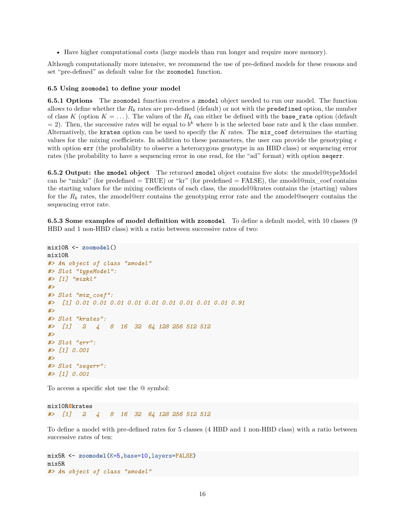• Have higher computational costs (large models than run longer and require more memory).

Although computationally more intensive, we recommend the use of pre-defined models for these reasons and set "pre-defined" as default value for the zoomodel function.

#### **6.5 Using zoomodel to define your model**

**6.5.1 Options** The zoomodel function creates a zmodel object needed to run our model. The function allows to define whether the  $R_k$  rates are pre-defined (default) or not with the **predefined** option, the number of class *K* (option  $K = \ldots$ ). The values of the  $R_k$  can either be defined with the base\_rate option (default  $= 2$ ). Then, the successive rates will be equal to  $b<sup>k</sup>$  where b is the selected base rate and k the class number. Alternatively, the krates option can be used to specify the *K* rates. The mix\_coef determines the starting values for the mixing coefficients. In addition to these parameters, the user can provide the genotyping  $\epsilon$ with option  $err$  (the probability to observe a heterozygous genotype in an HBD class) or sequencing error rates (the probability to have a sequencing error in one read, for the "ad" format) with option seqerr.

**6.5.2 Output: the zmodel object** The returned zmodel object contains five slots: the zmodel@typeModel can be "mixkr" (for predefined  $= \text{TRUE}$ ) or "kr" (for predefined  $= \text{FALSE}$ ), the zmodel@mix\_coef contains the starting values for the mixing coefficients of each class, the zmodel@krates contains the (starting) values for the  $R_k$  rates, the zmodel@err contains the genotyping error rate and the zmodel@seqerr contains the sequencing error rate.

**6.5.3 Some examples of model definition with zoomodel** To define a default model, with 10 classes (9 HBD and 1 non-HBD class) with a ratio between successive rates of two:

```
mix10R <- zoomodel()
mix10R
#> An object of class "zmodel"
#> Slot "typeModel":
#> [1] "mixkl"
#>
#> Slot "mix_coef":
#> [1] 0.01 0.01 0.01 0.01 0.01 0.01 0.01 0.01 0.01 0.91
#>
#> Slot "krates":
#> [1] 2 4 8 16 32 64 128 256 512 512
#>
#> Slot "err":
#> [1] 0.001
#>
#> Slot "seqerr":
#> [1] 0.001
```
To access a specific slot use the @ symbol:

mix10R**@**krates *#> [1] 2 4 8 16 32 64 128 256 512 512*

To define a model with pre-defined rates for 5 classes (4 HBD and 1 non-HBD class) with a ratio between successive rates of ten:

mix5R <- **zoomodel**(K=5,base=10,layers=FALSE) mix5R *#> An object of class "zmodel"*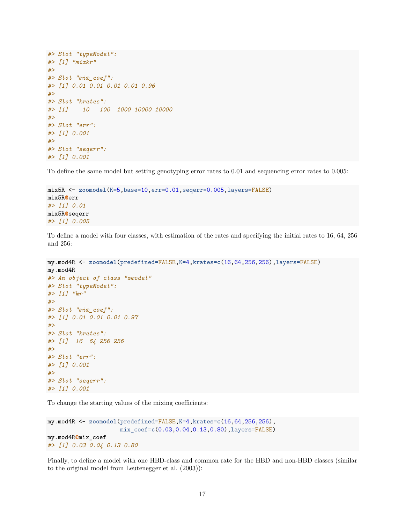```
#> Slot "typeModel":
#> [1] "mixkr"
#>
#> Slot "mix_coef":
#> [1] 0.01 0.01 0.01 0.01 0.96
#>
#> Slot "krates":
#> [1] 10 100 1000 10000 10000
#>
#> Slot "err":
#> [1] 0.001
#>
#> Slot "seqerr":
#> [1] 0.001
```
To define the same model but setting genotyping error rates to 0.01 and sequencing error rates to 0.005:

```
mix5R <- zoomodel(K=5,base=10,err=0.01,seqerr=0.005,layers=FALSE)
mix5R@err
#> [1] 0.01
mix5R@seqerr
#> [1] 0.005
```
To define a model with four classes, with estimation of the rates and specifying the initial rates to 16, 64, 256 and 256:

```
my.mod4R <- zoomodel(predefined=FALSE,K=4,krates=c(16,64,256,256),layers=FALSE)
my.mod4R
#> An object of class "zmodel"
#> Slot "typeModel":
#> [1] "kr"
#>
#> Slot "mix_coef":
#> [1] 0.01 0.01 0.01 0.97
#>
#> Slot "krates":
#> [1] 16 64 256 256
#>
#> Slot "err":
#> [1] 0.001
#>
#> Slot "seqerr":
#> [1] 0.001
```
To change the starting values of the mixing coefficients:

```
my.mod4R <- zoomodel(predefined=FALSE,K=4,krates=c(16,64,256,256),
                     mix_coef=c(0.03,0.04,0.13,0.80),layers=FALSE)
my.mod4R@mix_coef
#> [1] 0.03 0.04 0.13 0.80
```
Finally, to define a model with one HBD-class and common rate for the HBD and non-HBD classes (similar to the original model from Leutenegger et al. [\(2003\)](#page-44-0)):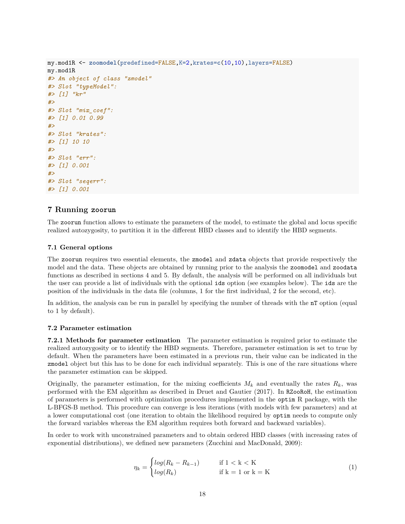```
my.mod1R <- zoomodel(predefined=FALSE,K=2,krates=c(10,10),layers=FALSE)
my.mod1R
#> An object of class "zmodel"
#> Slot "typeModel":
#> [1] "kr"
#>
#> Slot "mix_coef":
#> [1] 0.01 0.99
#>
#> Slot "krates":
#> [1] 10 10
#>
#> Slot "err":
#> [1] 0.001
#>
#> Slot "seqerr":
#> [1] 0.001
```
# **7 Running zoorun**

The zoorun function allows to estimate the parameters of the model, to estimate the global and locus specific realized autozygosity, to partition it in the different HBD classes and to identify the HBD segments.

#### **7.1 General options**

The zoorun requires two essential elements, the zmodel and zdata objects that provide respectively the model and the data. These objects are obtained by running prior to the analysis the zoomodel and zoodata functions as described in sections 4 and 5. By default, the analysis will be performed on all individuals but the user can provide a list of individuals with the optional ids option (see examples below). The ids are the position of the individuals in the data file (columns, 1 for the first individual, 2 for the second, etc).

In addition, the analysis can be run in parallel by specifying the number of threads with the nT option (equal to 1 by default).

#### **7.2 Parameter estimation**

**7.2.1 Methods for parameter estimation** The parameter estimation is required prior to estimate the realized autozygosity or to identify the HBD segments. Therefore, parameter estimation is set to true by default. When the parameters have been estimated in a previous run, their value can be indicated in the zmodel object but this has to be done for each individual separately. This is one of the rare situations where the parameter estimation can be skipped.

Originally, the parameter estimation, for the mixing coefficients  $M_k$  and eventually the rates  $R_k$ , was performed with the EM algorithm as described in Druet and Gautier [\(2017\)](#page-44-2). In RZooRoH, the estimation of parameters is performed with optimization procedures implemented in the optim R package, with the L-BFGS-B method. This procedure can converge is less iterations (with models with few parameters) and at a lower computational cost (one iteration to obtain the likelihood required by optim needs to compute only the forward variables whereas the EM algorithm requires both forward and backward variables).

In order to work with unconstrained parameters and to obtain ordered HBD classes (with increasing rates of exponential distributions), we defined new parameters [\(Zucchini and MacDonald, 2009\)](#page-45-7):

$$
\eta_k = \begin{cases} \log(R_k - R_{k-1}) & \text{if } 1 < k < K \\ \log(R_k) & \text{if } k = 1 \text{ or } k = K \end{cases} \tag{1}
$$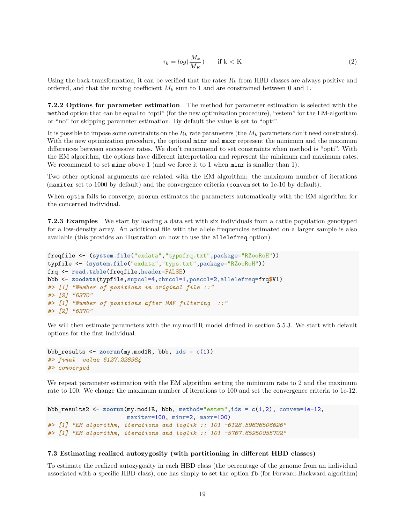$$
\tau_k = \log(\frac{M_k}{M_K}) \qquad \text{if } k < K \tag{2}
$$

Using the back-transformation, it can be verified that the rates  $R_k$  from HBD classes are always positive and ordered, and that the mixing coefficient  $M_k$  sum to 1 and are constrained between 0 and 1.

**7.2.2 Options for parameter estimation** The method for parameter estimation is selected with the method option that can be equal to "opti" (for the new optimization procedure), "estem" for the EM-algorithm or "no" for skipping parameter estimation. By default the value is set to "opti".

It is possible to impose some constraints on the  $R_k$  rate parameters (the  $M_k$  parameters don't need constraints). With the new optimization procedure, the optional minr and maxr represent the minimum and the maximum differences between successive rates. We don't recommend to set constraints when method is "opti". With the EM algorithm, the options have different interpretation and represent the minimum and maximum rates. We recommend to set minr above 1 (and we force it to 1 when minr is smaller than 1).

Two other optional arguments are related with the EM algorithm: the maximum number of iterations (maxiter set to 1000 by default) and the convergence criteria (convem set to 1e-10 by default).

When optim fails to converge, zoorun estimates the parameters automatically with the EM algorithm for the concerned individual.

**7.2.3 Examples** We start by loading a data set with six individuals from a cattle population genotyped for a low-density array. An additional file with the allele frequencies estimated on a larger sample is also available (this provides an illustration on how to use the allelefreq option).

```
freqfile <- (system.file("exdata","typsfrq.txt",package="RZooRoH"))
typfile <- (system.file("exdata","typs.txt",package="RZooRoH"))
frq <- read.table(freqfile,header=FALSE)
bbb <- zoodata(typfile,supcol=4,chrcol=1,poscol=2,allelefreq=frq$V1)
#> [1] "Number of positions in original file ::"
#> [2] "6370"
#> [1] "Number of positions after MAF filtering ::"
#> [2] "6370"
```
We will then estimate parameters with the my.mod1R model defined in section 5.5.3. We start with default options for the first individual.

```
bbb_results <- zoorun(my.mod1R, bbb, ids = c(1))
#> final value 6127.228984
#> converged
```
We repeat parameter estimation with the EM algorithm setting the minimum rate to 2 and the maximum rate to 100. We change the maximum number of iterations to 100 and set the convergence criteria to 1e-12.

```
bbb_results2 <- zoorun(my.mod1R, bbb, method="estem",ids = c(1,2), convem=1e-12,
                       maxiter=100, minr=2, maxr=100)
#> [1] "EM algorithm, iterations and loglik :: 101 -6128.59636506626"
#> [1] "EM algorithm, iterations and loglik :: 101 -5767.65950055702"
```
#### **7.3 Estimating realized autozygosity (with partitioning in different HBD classes)**

To estimate the realized autozygosity in each HBD class (the percentage of the genome from an individual associated with a specific HBD class), one has simply to set the option fb (for Forward-Backward algorithm)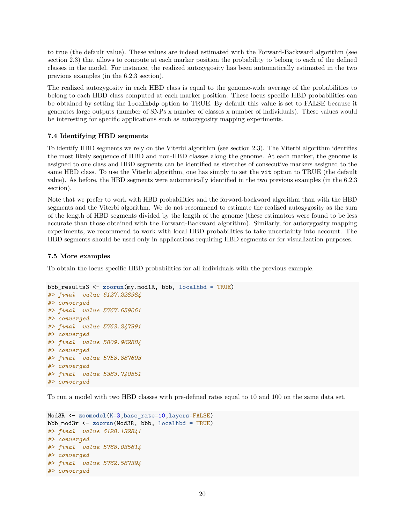to true (the default value). These values are indeed estimated with the Forward-Backward algorithm (see section 2.3) that allows to compute at each marker position the probability to belong to each of the defined classes in the model. For instance, the realized autozygosity has been automatically estimated in the two previous examples (in the 6.2.3 section).

The realized autozygosity in each HBD class is equal to the genome-wide average of the probabilities to belong to each HBD class computed at each marker position. These locus specific HBD probabilities can be obtained by setting the localhbdp option to TRUE. By default this value is set to FALSE because it generates large outputs (number of SNPs x number of classes x number of individuals). These values would be interesting for specific applications such as autozygosity mapping experiments.

# **7.4 Identifying HBD segments**

To identify HBD segments we rely on the Viterbi algorithm (see section 2.3). The Viterbi algorithm identifies the most likely sequence of HBD and non-HBD classes along the genome. At each marker, the genome is assigned to one class and HBD segments can be identified as stretches of consecutive markers assigned to the same HBD class. To use the Viterbi algorithm, one has simply to set the vit option to TRUE (the default value). As before, the HBD segments were automatically identified in the two previous examples (in the 6.2.3 section).

Note that we prefer to work with HBD probabilities and the forward-backward algorithm than with the HBD segments and the Viterbi algorithm. We do not recommend to estimate the realized autozygosity as the sum of the length of HBD segments divided by the length of the genome (these estimators were found to be less accurate than those obtained with the Forward-Backward algorithm). Similarly, for autozygosity mapping experiments, we recommend to work with local HBD probabilities to take uncertainty into account. The HBD segments should be used only in applications requiring HBD segments or for visualization purposes.

### **7.5 More examples**

To obtain the locus specific HBD probabilities for all individuals with the previous example.

```
bbb_results3 <- zoorun(my.mod1R, bbb, localhbd = TRUE)
#> final value 6127.228984
#> converged
#> final value 5767.659061
#> converged
#> final value 5763.247991
#> converged
#> final value 5809.962884
#> converged
#> final value 5758.887693
#> converged
#> final value 5383.740551
#> converged
```
To run a model with two HBD classes with pre-defined rates equal to 10 and 100 on the same data set.

```
Mod3R <- zoomodel(K=3,base_rate=10,layers=FALSE)
bbb_mod3r <- zoorun(Mod3R, bbb, localhbd = TRUE)
#> final value 6128.132841
#> converged
#> final value 5768.035614
#> converged
#> final value 5762.587394
#> converged
```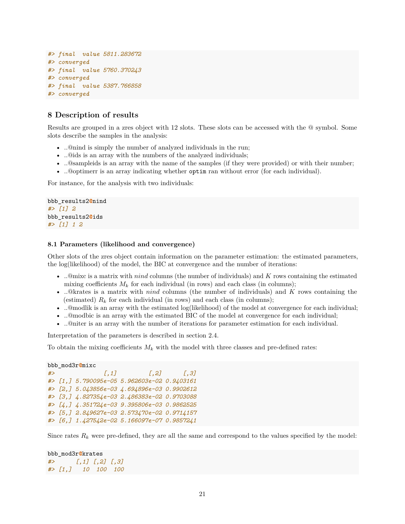```
#> final value 5811.283672
#> converged
#> final value 5760.370243
#> converged
#> final value 5387.766858
#> converged
```
# **8 Description of results**

Results are grouped in a zres object with 12 slots. These slots can be accessed with the @ symbol. Some slots describe the samples in the analysis:

- ..@nind is simply the number of analyzed individuals in the run;
- ..@ids is an array with the numbers of the analyzed individuals;
- ..@sampleids is an array with the name of the samples (if they were provided) or with their number;
- ..@optimerr is an array indicating whether optim ran without error (for each individual).

For instance, for the analysis with two individuals:

```
bbb_results2@nind
#> [1] 2
bbb_results2@ids
#> [1] 1 2
```
#### **8.1 Parameters (likelihood and convergence)**

Other slots of the zres object contain information on the parameter estimation: the estimated parameters, the log(likelihood) of the model, the BIC at convergence and the number of iterations:

- ..@mixc is a matrix with *nind* columns (the number of individuals) and *K* rows containing the estimated mixing coefficients  $M_k$  for each individual (in rows) and each class (in columns);
- ..@krates is a matrix with *nind* columns (the number of individuals) and *K* rows containing the (estimated)  $R_k$  for each individual (in rows) and each class (in columns);
- ..@modlik is an array with the estimated log(likelihood) of the model at convergence for each individual;
- ..@modbic is an array with the estimated BIC of the model at convergence for each individual;
- ..@niter is an array with the number of iterations for parameter estimation for each individual.

Interpretation of the parameters is described in section 2.4.

To obtain the mixing coefficients  $M_k$  with the model with three classes and pre-defined rates:

```
bbb_mod3r@mixc
```

```
#> [,1] [,2] [,3]
#> [1,] 5.790095e-05 5.962603e-02 0.9403161
#> [2,] 5.043856e-03 4.694896e-03 0.9902612
#> [3,] 4.827354e-03 2.486383e-02 0.9703088
#> [4,] 4.351724e-03 9.395806e-03 0.9862525
#> [5,] 2.849627e-03 2.573470e-02 0.9714157
#> [6,] 1.427542e-02 5.166097e-07 0.9857241
```
Since rates  $R_k$  were pre-defined, they are all the same and correspond to the values specified by the model:

# bbb\_mod3r**@**krates *#> [,1] [,2] [,3] #> [1,] 10 100 100*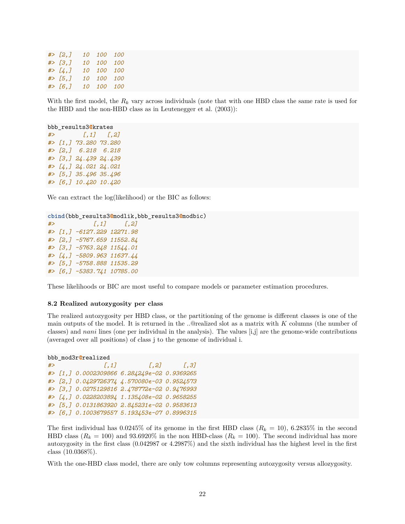| $#$ [2,] | 10 100 100 |  |
|----------|------------|--|
| # > [3,] | 10 100 100 |  |
| # > [4,] | 10 100 100 |  |
| $#$ [5,] | 10 100 100 |  |
| $#$ [6,] | 10 100 100 |  |

With the first model, the  $R_k$  vary across individuals (note that with one HBD class the same rate is used for the HBD and the non-HBD class as in Leutenegger et al. [\(2003\)](#page-44-0)):

```
bbb_results3@krates
#> [,1] [,2]
#> [1,] 73.280 73.280
#> [2,] 6.218 6.218
#> [3,] 24.439 24.439
#> [4,] 24.021 24.021
#> [5,] 35.496 35.496
#> [6,] 10.420 10.420
```
We can extract the log(likelihood) or the BIC as follows:

```
cbind(bbb_results3@modlik,bbb_results3@modbic)
#> [,1] [,2]
#> [1,] -6127.229 12271.98
#> [2,] -5767.659 11552.84
#> [3,] -5763.248 11544.01
#> [4,] -5809.963 11637.44
#> [5,] -5758.888 11535.29
#> [6,] -5383.741 10785.00
```
These likelihoods or BIC are most useful to compare models or parameter estimation procedures.

#### **8.2 Realized autozygosity per class**

The realized autozygosity per HBD class, or the partitioning of the genome is different classes is one of the main outputs of the model. It is returned in the ..@realized slot as a matrix with *K* columns (the number of classes) and *nani* lines (one per individual in the analysis). The values [i,j] are the genome-wide contributions (averaged over all positions) of class j to the genome of individual i.

```
bbb_mod3r@realized
```

```
#> [,1] [,2] [,3]
#> [1,] 0.0002309866 6.284249e-02 0.9369265
#> [2,] 0.0429726374 4.570080e-03 0.9524573
#> [3,] 0.0275129816 2.478772e-02 0.9476993
#> [4,] 0.0228203894 1.135408e-02 0.9658255
#> [5,] 0.0131863920 2.845231e-02 0.9583613
#> [6,] 0.1003679557 5.193453e-07 0.8996315
```
The first individual has  $0.0245\%$  of its genome in the first HBD class  $(R_k = 10)$ ,  $6.2835\%$  in the second HBD class  $(R_k = 100)$  and 93.6920% in the non HBD-class  $(R_k = 100)$ . The second individual has more autozygosity in the first class (0.042987 or 4.2987%) and the sixth individual has the highest level in the first class (10.0368%).

With the one-HBD class model, there are only tow columns representing autozygosity versus allozygosity.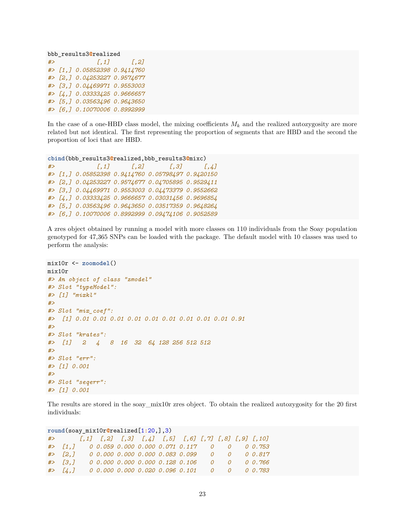bbb\_results3**@**realized *#> [,1] [,2] #> [1,] 0.05852398 0.9414760 #> [2,] 0.04253227 0.9574677 #> [3,] 0.04469971 0.9553003 #> [4,] 0.03333425 0.9666657 #> [5,] 0.03563496 0.9643650 #> [6,] 0.10070006 0.8992999*

In the case of a one-HBD class model, the mixing coefficients  $M_k$  and the realized autozygosity are more related but not identical. The first representing the proportion of segments that are HBD and the second the proportion of loci that are HBD.

```
cbind(bbb_results3@realized,bbb_results3@mixc)
#> [,1] [,2] [,3] [,4]
#> [1,] 0.05852398 0.9414760 0.05798497 0.9420150
#> [2,] 0.04253227 0.9574677 0.04705895 0.9529411
#> [3,] 0.04469971 0.9553003 0.04473379 0.9552662
#> [4,] 0.03333425 0.9666657 0.03031456 0.9696854
#> [5,] 0.03563496 0.9643650 0.03517359 0.9648264
#> [6,] 0.10070006 0.8992999 0.09474106 0.9052589
```
A zres object obtained by running a model with more classes on 110 individuals from the Soay population genotyped for 47,365 SNPs can be loaded with the package. The default model with 10 classes was used to perform the analysis:

```
mix10r <- zoomodel()
mix10r
#> An object of class "zmodel"
#> Slot "typeModel":
#> [1] "mixkl"
#>
#> Slot "mix_coef":
#> [1] 0.01 0.01 0.01 0.01 0.01 0.01 0.01 0.01 0.01 0.91
#>
#> Slot "krates":
#> [1] 2 4 8 16 32 64 128 256 512 512
#>
#> Slot "err":
#> [1] 0.001
#>
#> Slot "seqerr":
#> [1] 0.001
```
The results are stored in the soay\_mix10r zres object. To obtain the realized autozygosity for the 20 first individuals:

**round**(soay\_mix10r**@**realized[1**:**20,],3) *#> [,1] [,2] [,3] [,4] [,5] [,6] [,7] [,8] [,9] [,10] #> [1,] 0 0.059 0.000 0.000 0.071 0.117 0 0 0 0.753 #> [2,] 0 0.000 0.000 0.000 0.083 0.099 0 0 0 0.817 #> [3,] 0 0.000 0.000 0.000 0.128 0.106 0 0 0 0.766 #> [4,] 0 0.000 0.000 0.020 0.096 0.101 0 0 0 0.783*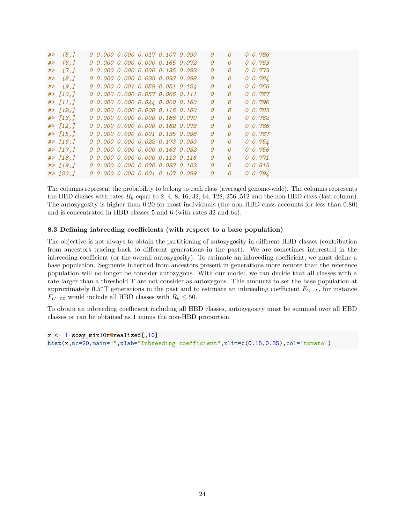| #> | [5,          |  |  | 0 0.000 0.000 0.017 0.107 0.090        | $\Omega$ | 0              | 00.786  |
|----|--------------|--|--|----------------------------------------|----------|----------------|---------|
| #> | [6,]         |  |  | 0 0.000 0.000 0.000 0.165 0.072        | $\Omega$ | 0              | 0 0.763 |
| #> | $\sqrt{7.7}$ |  |  | 0 0.000 0.000 0.000 0.135 0.092        | 0        | 0              | 0.773   |
| #> | [8,]         |  |  | 0 0.000 0.000 0.025 0.093 0.098        | $\Omega$ | 0              | 0.784   |
|    | # > [9,]     |  |  | 0 0.000 0.001 0.059 0.051 0.124        | $\Omega$ | 0              | 00.766  |
|    | $#$ [10,]    |  |  | 0 0.000 0.000 0.057 0.066 0.111        | 0        | 0              | 0.767   |
|    | $#$ [11,]    |  |  | $0\ 0.000\ 0.000\ 0.044\ 0.000\ 0.160$ | $\Omega$ | 0              | 0.796   |
|    | $#$ [12,]    |  |  | 0 0.000 0.000 0.000 0.116 0.100        | 0        | 0              | 0.783   |
|    | $#$ [13.]    |  |  | 0 0.000 0.000 0.000 0.168 0.070        | 0        | 0              | 0.762   |
|    | $#$ [14,]    |  |  | 0 0.000 0.000 0.000 0.162 0.073        | $\Omega$ | 0              | 00.766  |
|    | $#$ [15,]    |  |  | 0 0.000 0.000 0.001 0.135 0.098        | $\Omega$ | 0              | 0.767   |
|    | $#$ [16,]    |  |  | 0 0.000 0.000 0.022 0.173 0.050        | $\Omega$ | 0              | 0.754   |
|    | $#$ [17,]    |  |  | 0 0.000 0.000 0.000 0.163 0.082        | $\Omega$ | 0              | 00.756  |
|    | $#$ [18,]    |  |  | 0 0.000 0.000 0.000 0.113 0.116        | 0        | 0              | 0.0.771 |
|    | $#$ [19,]    |  |  | 0 0.000 0.000 0.000 0.083 0.102        | 0        | 0              | 0 0.815 |
|    | # > [20, ]   |  |  | 0 0.000 0.000 0.001 0.107 0.099        | $\Omega$ | $\overline{O}$ | 0.794   |

The columns represent the probability to belong to each class (averaged genome-wide). The columns represents the HBD classes with rates  $R_k$  equal to 2, 4, 8, 16, 32, 64, 128, 256, 512 and the non-HBD class (last column). The autozygosity is higher than 0.20 for most individuals (the non-HBD class accounts for less than 0.80) and is concentrated in HBD classes 5 and 6 (with rates 32 and 64).

# **8.3 Defining inbreeding coefficients (with respect to a base population)**

The objective is not always to obtain the partitioning of autozygosity in different HBD classes (contribution from ancestors tracing back to different generations in the past). We are sometimes interested in the inbreeding coefficient (or the overall autozygosity). To estimate an inbreeding coefficient, we must define a base population. Segments inherited from ancestors present in generations more remote than the reference population will no longer be consider autozygous. With our model, we can decide that all classes with a rate larger than a threshold T are not consider as autozygous. This amounts to set the base population at approximately  $0.5^*$ T generations in the past and to estimate an inbreeding coefficient  $F_{G-T}$ , for instance *F*<sup>*G*−50</sub> would include all HBD classes with  $R_k$  ≤ 50.</sup>

To obtain an inbreeding coefficient including all HBD classes, autozygosity must be summed over all HBD classes or can be obtained as 1 minus the non-HBD proportion.

```
x <- 1-soay_mix10r@realized[,10]
hist(x,nc=20,main="",xlab="Inbreeding coefficient",xlim=c(0.15,0.35),col='tomato')
```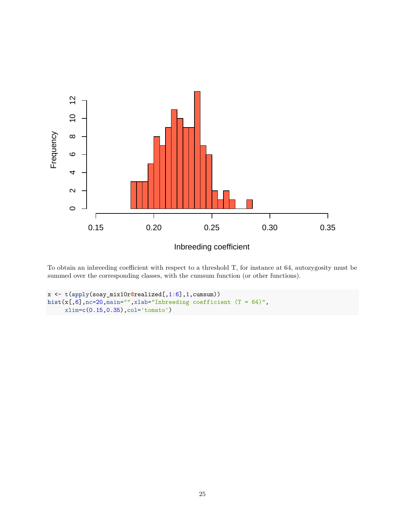

To obtain an inbreeding coefficient with respect to a threshold T, for instance at 64, autozygosity must be summed over the corresponding classes, with the cumsum function (or other functions).

```
x <- t(apply(soay_mix10r@realized[,1:6],1,cumsum))
hist(x[,6],nc=20,main="",xlab="Inbreeding coefficient (T = 64)",
     xlim=c(0.15,0.35),col='tomato')
```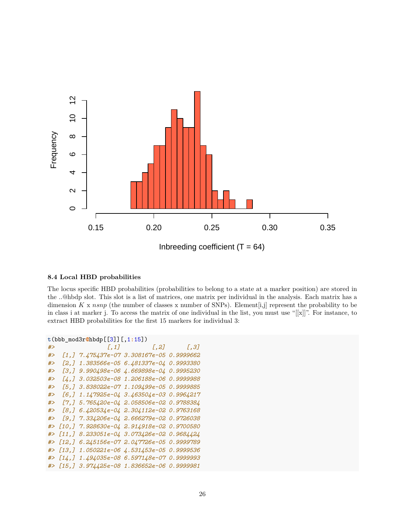

### **8.4 Local HBD probabilities**

The locus specific HBD probabilities (probabilities to belong to a state at a marker position) are stored in the ..@hbdp slot. This slot is a list of matrices, one matrix per individual in the analysis. Each matrix has a dimension *K* x *nsnp* (the number of classes x number of SNPs). Element[i,j] represent the probability to be in class i at marker j. To access the matrix of one individual in the list, you must use "[[x]]". For instance, to extract HBD probabilities for the first 15 markers for individual 3:

```
t(bbb_mod3r@hbdp[[3]][,1:15])
#> [,1] [,2] [,3]
#> [1,] 7.475437e-07 3.308167e-05 0.9999662
#> [2,] 1.383566e-05 6.481337e-04 0.9993380
#> [3,] 9.990498e-06 4.669898e-04 0.9995230
#> [4,] 3.032503e-08 1.206188e-06 0.9999988
#> [5,] 3.838022e-07 1.109499e-05 0.9999885
#> [6,] 1.147925e-04 3.463504e-03 0.9964217
#> [7,] 5.765420e-04 2.058506e-02 0.9788384
#> [8,] 6.420534e-04 2.304112e-02 0.9763168
#> [9,] 7.334206e-04 2.666279e-02 0.9726038
#> [10,] 7.928630e-04 2.914918e-02 0.9700580
#> [11,] 8.233051e-04 3.073426e-02 0.9684424
#> [12,] 6.245156e-07 2.047726e-05 0.9999789
#> [13,] 1.050221e-06 4.531453e-05 0.9999536
#> [14,] 1.494035e-08 6.597148e-07 0.9999993
#> [15,] 3.974425e-08 1.836652e-06 0.9999981
```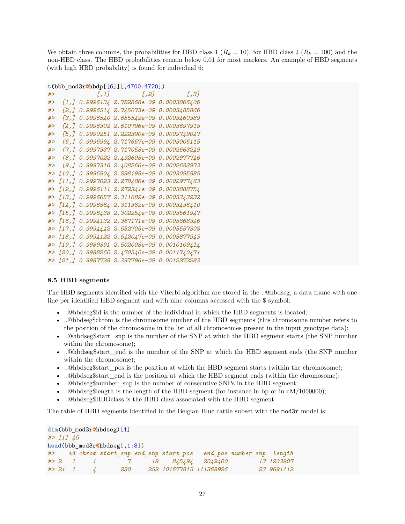We obtain three columns, the probabilities for HBD class 1  $(R_k = 10)$ , for HBD class 2  $(R_k = 100)$  and the non-HBD class. The HBD probabilities remain below 0.01 for most markers. An example of HBD segments (with high HBD probability) is found for individual 6:

```
t(bbb_mod3r@hbdp[[6]][,4700:4720])
```

| #> |          | $[0, 1]$ $[0, 2]$ $[0, 3]$                                                           |  |
|----|----------|--------------------------------------------------------------------------------------|--|
| #> |          | [1,] 0.9996134 2.782868e-09 0.0003866406                                             |  |
| #> |          | [2,] 0.9996514 2.745073e-09 0.0003485866                                             |  |
| #> | [3.]     | 0.9996540 2.655542e-09 0.0003460389                                                  |  |
| #> |          | [4,] 0.9996302 2.610796e-09 0.0003697918                                             |  |
| #> |          |                                                                                      |  |
| #> | [6,]     | 0.9996994 2.717657e-09 0.0003006115                                                  |  |
| #> |          | [7,] 0.9997337 2.717058e-09 0.0002663249                                             |  |
| #> |          | [8,] 0.9997022 2.492608e-09 0.0002977746                                             |  |
| #> | [9,]     | 0.9997316 2.408266e-09 0.0002683973                                                  |  |
| #> | [10,]    | 0.9996904 2.298198e-09 0.0003095885                                                  |  |
| #> |          | [11,] 0.9997023 2.278486e-09 0.0002977463                                            |  |
| #> |          | $[12, 1 0.9996111 2.272341e-09 0.0003888754$                                         |  |
| #> |          | $[13,]$ 0.9996657 2.311682e-09 0.0003343232                                          |  |
| #> |          | $[14, ]$ 0.9996564 2.311382e-09 0.0003436410                                         |  |
|    |          | #> [15,] 0.9996438 2.302254e-09 0.0003561947                                         |  |
| #> | [16, 1]  | 0.9994132 2.367171e-09 0.0005868346                                                  |  |
| #> | [17, 1]  | 0.9994442 2.552705e-09 0.0005557808                                                  |  |
|    | #> [18,] | 0.9994122 2.542047e-09 0.0005877943                                                  |  |
|    |          | #> [19,] 0.9989891 2.502008e-09 0.0010109414                                         |  |
|    |          | #> [20,] 0.9988260                                  2.470540e-09        0.0011740471 |  |
|    |          | #> [21,] 0.9987728 2.397796e-09 0.0012272283                                         |  |

#### **8.5 HBD segments**

The HBD segments identified with the Viterbi algorithm are stored in the ..@hbdseg, a data frame with one line per identified HBD segment and with nine columns accessed with the \$ symbol:

- ..@hbdseg\$id is the number of the individual in which the HBD segments is located;
- ..@hbdseg\$chrom is the chromosome number of the HBD segments (this chromosome number refers to the position of the chromosome in the list of all chromosomes present in the input genotype data);
- ..@hbdseg\$start\_snp is the number of the SNP at which the HBD segment starts (the SNP number within the chromosome);
- ..@hbdseg\$start end is the number of the SNP at which the HBD segment ends (the SNP number within the chromosome);
- ..@hbdseg\$start pos is the position at which the HBD segment starts (within the chromosome);
- ..@hbdseg\$start end is the position at which the HBD segment ends (within the chromosome);
- ..@hbdseg\$number\_snp is the number of consecutive SNPs in the HBD segment;
- ..@hbdseg\$length is the length of the HBD segment (for instance in bp or in cM/1000000);
- ..@hbdseg\$HBDclass is the HBD class associated with the HBD segment.

The table of HBD segments identified in the Belgian Blue cattle subset with the mod3r model is:

```
dim(bbb_mod3r@hbdseg)[1]
#> [1] 45
head(bbb_mod3r@hbdseg[,1:8])
#> id chrom start_snp end_snp start_pos end_pos number_snp length
#> 2 1 1 7 19 845494 2049400 13 1203907
#> 21 1 4 230 252 101677815 111368926 23 9691112
```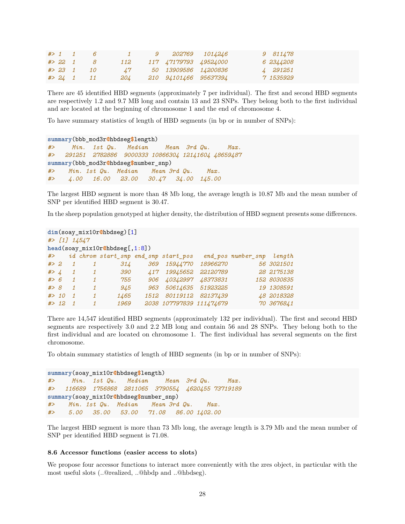|            | $# > 1$ 1 6   | $\mathbf{I}$ and $\mathbf{I}$ | 9 202769 1014246      | 9 811478  |
|------------|---------------|-------------------------------|-----------------------|-----------|
| $# > 22$ 1 | - 8           | 112                           | 117 47179793 49524000 | 6 2344208 |
|            | $# > 23$ 1 10 | $\frac{17}{2}$                | 50 13909586 14200836  | 4 291251  |
|            | $# > 24$ 1 11 | 204                           | 210 94101466 95637394 | 7 1535929 |

There are 45 identified HBD segments (approximately 7 per individual). The first and second HBD segments are respectively 1.2 and 9.7 MB long and contain 13 and 23 SNPs. They belong both to the first individual and are located at the beginning of chromosome 1 and the end of chromosome 4.

To have summary statistics of length of HBD segments (in bp or in number of SNPs):

```
summary(bbb_mod3r@hbdseg$length)
#> Min. 1st Qu. Median Mean 3rd Qu. Max.
#> 291251 2782886 9000333 10866304 12141604 48659487
summary(bbb_mod3r@hbdseg$number_snp)
#> Min. 1st Qu. Median Mean 3rd Qu. Max.
#> 4.00 16.00 23.00 30.47 34.00 145.00
```
The largest HBD segment is more than 48 Mb long, the average length is 10.87 Mb and the mean number of SNP per identified HBD segment is 30.47.

In the sheep population genotyped at higher density, the distribution of HBD segment presents some differences.

|        | $dim(soay_mix10r@hbdseg)$ [1]    |                |              |                                      |             |                          |          |                    |             |  |  |  |  |  |
|--------|----------------------------------|----------------|--------------|--------------------------------------|-------------|--------------------------|----------|--------------------|-------------|--|--|--|--|--|
|        | $#$ [1] 14547                    |                |              |                                      |             |                          |          |                    |             |  |  |  |  |  |
|        | $head(soay_mix10r@hbdseg[,1:8])$ |                |              |                                      |             |                          |          |                    |             |  |  |  |  |  |
| #>     |                                  |                |              | id chrom start_snp end_snp start_pos |             |                          |          | end pos number snp | length      |  |  |  |  |  |
| # > 2  |                                  |                | 1            | 314                                  | 369         | <i>15944770</i>          | 18966270 |                    | 56 3021501  |  |  |  |  |  |
| # > 4  |                                  | $\mathbf{1}$   | 1            | <i>390</i>                           | $\angle 17$ | 19945652                 | 22120789 |                    | 28 2175138  |  |  |  |  |  |
| # > 6  |                                  | $\mathcal I$   | 1            | 755                                  | 906         | 40342997                 | 48373831 |                    | 152 8030835 |  |  |  |  |  |
| #> 8   |                                  | $\mathcal I$   | 1            | 945                                  | 963         | 50614635                 | 51923225 |                    | 19 1308591  |  |  |  |  |  |
| # > 10 |                                  | $\overline{1}$ | 1            | 1465                                 | 1512        | 80119112                 | 82137439 |                    | 48 2018328  |  |  |  |  |  |
| # > 12 |                                  | $\overline{1}$ | $\mathcal I$ | 1969                                 |             | 2038 107797839 111474679 |          |                    | 70 3676841  |  |  |  |  |  |

There are 14,547 identified HBD segments (approximately 132 per individual). The first and second HBD segments are respectively 3.0 and 2.2 MB long and contain 56 and 28 SNPs. They belong both to the first individual and are located on chromosome 1. The first individual has several segments on the first chromosome.

To obtain summary statistics of length of HBD segments (in bp or in number of SNPs):

```
summary(soay_mix10r@hbdseg$length)
#> Min. 1st Qu. Median Mean 3rd Qu. Max.
#> 116689 1756868 2811065 3790554 4620455 73719189
summary(soay_mix10r@hbdseg$number_snp)
#> Min. 1st Qu. Median Mean 3rd Qu. Max.
#> 5.00 35.00 53.00 71.08 86.00 1402.00
```
The largest HBD segment is more than 73 Mb long, the average length is 3.79 Mb and the mean number of SNP per identified HBD segment is 71.08.

#### **8.6 Accessor functions (easier access to slots)**

We propose four accessor functions to interact more conveniently with the zres object, in particular with the most useful slots (..@realized, ..@hbdp and ..@hbdseg).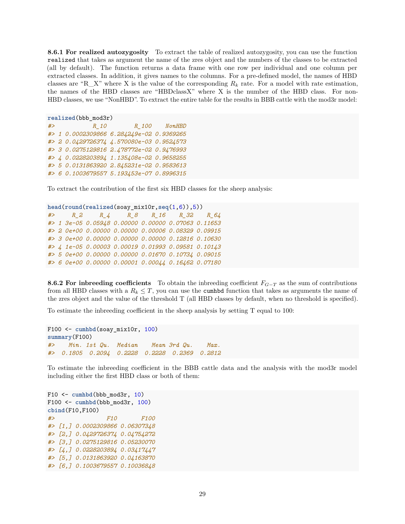**8.6.1 For realized autozygosity** To extract the table of realized autozygosity, you can use the function realized that takes as argument the name of the zres object and the numbers of the classes to be extracted (all by default). The function returns a data frame with one row per individual and one column per extracted classes. In addition, it gives names to the columns. For a pre-defined model, the names of HBD classes are "R<sub>\_</sub>X" where X is the value of the corresponding  $R_k$  rate. For a model with rate estimation, the names of the HBD classes are "HBDclassX" where X is the number of the HBD class. For non-HBD classes, we use "NonHBD". To extract the entire table for the results in BBB cattle with the mod3r model:

```
realized(bbb_mod3r)
#> R_10 R_100 NonHBD
#> 1 0.0002309866 6.284249e-02 0.9369265
#> 2 0.0429726374 4.570080e-03 0.9524573
#> 3 0.0275129816 2.478772e-02 0.9476993
#> 4 0.0228203894 1.135408e-02 0.9658255
#> 5 0.0131863920 2.845231e-02 0.9583613
#> 6 0.1003679557 5.193453e-07 0.8996315
```
To extract the contribution of the first six HBD classes for the sheep analysis:

```
head(round(realized(soay_mix10r,seq(1,6)),5))
#> R_2 R_4 R_8 R_16 R_32 R_64
#> 1 3e-05 0.05948 0.00000 0.00000 0.07063 0.11653
#> 2 0e+00 0.00000 0.00000 0.00006 0.08329 0.09915
#> 3 0e+00 0.00000 0.00000 0.00000 0.12816 0.10630
#> 4 1e-05 0.00003 0.00019 0.01993 0.09581 0.10143
#> 5 0e+00 0.00000 0.00000 0.01670 0.10734 0.09015
#> 6 0e+00 0.00000 0.00001 0.00044 0.16462 0.07180
```
**8.6.2 For inbreeding coefficients** To obtain the inbreeding coefficient  $F_{G-T}$  as the sum of contributions from all HBD classes with a  $R_k \leq T$ , you can use the cumbbd function that takes as arguments the name of the zres object and the value of the threshold T (all HBD classes by default, when no threshold is specified).

To estimate the inbreeding coefficient in the sheep analysis by setting T equal to 100:

```
F100 <- cumhbd(soay_mix10r, 100)
summary(F100)
#> Min. 1st Qu. Median Mean 3rd Qu. Max.
#> 0.1805 0.2094 0.2228 0.2228 0.2369 0.2812
```
To estimate the inbreeding coefficient in the BBB cattle data and the analysis with the mod3r model including either the first HBD class or both of them:

F10  $\leq$  cumhbd(bbb mod3r, 10) F100 <- **cumhbd**(bbb\_mod3r, 100) **cbind**(F10,F100) *#> F10 F100 #> [1,] 0.0002309866 0.06307348 #> [2,] 0.0429726374 0.04754272 #> [3,] 0.0275129816 0.05230070 #> [4,] 0.0228203894 0.03417447 #> [5,] 0.0131863920 0.04163870 #> [6,] 0.1003679557 0.10036848*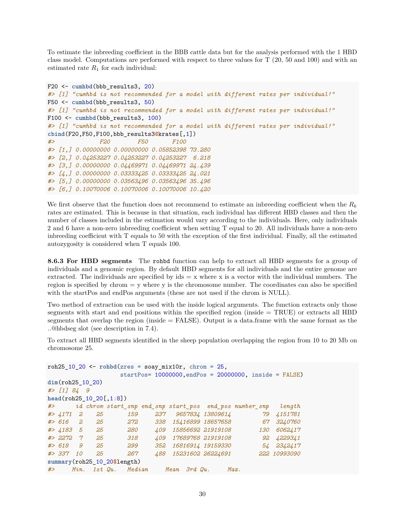To estimate the inbreeding coefficient in the BBB cattle data but for the analysis performed with the 1 HBD class model. Computations are performed with respect to three values for T (20, 50 and 100) and with an estimated rate  $R_1$  for each individual:

```
F20 <- cumhbd(bbb_results3, 20)
#> [1] "cumhbd is not recommended for a model with different rates per individual!"
F50 <- cumhbd(bbb_results3, 50)
#> [1] "cumhbd is not recommended for a model with different rates per individual!"
F100 <- cumhbd(bbb_results3, 100)
#> [1] "cumhbd is not recommended for a model with different rates per individual!"
cbind(F20,F50,F100,bbb_results3@krates[,1])
#> F20 F50 F100
#> [1,] 0.00000000 0.00000000 0.05852398 73.280
#> [2,] 0.04253227 0.04253227 0.04253227 6.218
#> [3,] 0.00000000 0.04469971 0.04469971 24.439
#> [4,] 0.00000000 0.03333425 0.03333425 24.021
#> [5,] 0.00000000 0.03563496 0.03563496 35.496
#> [6,] 0.10070006 0.10070006 0.10070006 10.420
```
We first observe that the function does not recommend to estimate an inbreeding coefficient when the *R<sup>k</sup>* rates are estimated. This is because in that situation, each individual has different HBD classes and then the number of classes included in the estimation would vary according to the individuals. Here, only individuals 2 and 6 have a non-zero inbreeding coefficient when setting T equal to 20. All individuals have a non-zero inbreeding coefficient with T equals to 50 with the exception of the first individual. Finally, all the estimated autozygosity is considered when T equals 100.

**8.6.3 For HBD segments** The rohbd function can help to extract all HBD segments for a group of individuals and a genomic region. By default HBD segments for all individuals and the entire genome are extracted. The individuals are specified by ids  $= x$  where x is a vector with the individual numbers. The region is specified by chrom  $=$  y where y is the chromosome number. The coordinates can also be specified with the startPos and endPos arguments (these are not used if the chrom is NULL).

Two method of extraction can be used with the inside logical arguments. The function extracts only those segments with start and end positions within the specified region (inside = TRUE) or extracts all HBD segments that overlap the region (inside  $=$  FALSE). Output is a data.frame with the same format as the ..@hbdseg slot (see description in 7.4).

To extract all HBD segments identified in the sheep population overlapping the region from 10 to 20 Mb on chromosome 25.

```
roh25_10_20 <- rohbd(zres = soay_mix10r, chrom = 25,
                startPos= 10000000,endPos = 20000000, inside = FALSE)
dim(roh25_10_20)
#> [1] 84 9
head(roh25_10_20[,1:8])
#> id chrom start_snp end_snp start_pos end_pos number_snp length
#> 4171 2 25 159 237 9657834 13809614 79 4151781
#> 616 2 25 272 338 15416899 18657658 67 3240760
#> 4183 5 25 280 409 15856692 21919108 130 6062417
#> 2272 7 25 318 409 17689768 21919108 92 4229341
#> 618 9 25 299 352 16816914 19159330 54 2342417
#> 337 10 25 267 488 15231602 26224691 222 10993090
summary(roh25_10_20$length)
#> Min. 1st Qu. Median Mean 3rd Qu. Max.
```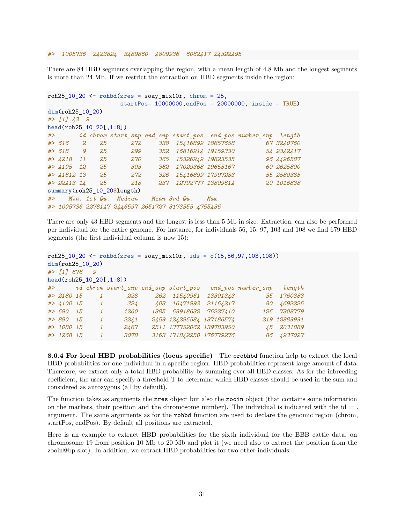*#> 1005736 2423824 3489860 4809936 6062417 24322495*

There are 84 HBD segments overlapping the region, with a mean length of 4.8 Mb and the longest segments is more than 24 Mb. If we restrict the extraction on HBD segments inside the region:

```
roh25 10 20 <- rohbd(r)es = soay mix10r, chrom = 25,
                 startPos= 10000000,endPos = 20000000, inside = TRUE)
dim(roh25_10_20)
#> [1] 43 9
head(roh25_10_20[,1:8])
#> id chrom start_snp end_snp start_pos end_pos number_snp length
#> 616 2 25 272 338 15416899 18657658 67 3240760
#> 618 9 25 299 352 16816914 19159330 54 2342417
#> 4218 11 25 270 365 15326949 19823535 96 4496587
#> 4195 12 25 303 362 17029368 19655167 60 2625800
#> 41612 13 25 272 326 15416899 17997283 55 2580385
#> 22413 14 25 218 237 12792777 13809614 20 1016838
summary(roh25_10_20$length)
#> Min. 1st Qu. Median Mean 3rd Qu. Max.
#> 1005736 2278147 2446597 2651727 3173355 4755436
```
There are only 43 HBD segments and the longest is less than 5 Mb in size. Extraction, can also be performed per individual for the entire genome. For instance, for individuals 56, 15, 97, 103 and 108 we find 679 HBD segments (the first individual column is now 15):

```
roh25_10_20 <- rohbd(zres = soay_mix10r, ids = c(15,56,97,103,108))
dim(roh25_10_20)
#> [1] 676 9
head(roh25_10_20[,1:8])
#> id chrom start_snp end_snp start_pos end_pos number_snp length
#> 2180 15 1 228 262 11540961 13301343 35 1760383
#> 4100 15 1 324 403 16471993 21164217 80 4692225
#> 690 15 1 1260 1385 68918632 76227410 126 7308779
#> 890 15 1 2241 2459 124296584 137186574 219 12889991
#> 1080 15 1 2467 2511 137752062 139783950 45 2031889
#> 1268 15 1 3078 3163 171842250 176779276 86 4937027
```
**8.6.4 For local HBD probabilities (locus specific)** The probhbd function help to extract the local HBD probabilities for one individual in a specific region. HBD probabilities represent large amount of data. Therefore, we extract only a total HBD probability by summing over all HBD classes. As for the inbreeding coefficient, the user can specify a threshold T to determine which HBD classes should be used in the sum and considered as autozygous (all by default).

The function takes as arguments the zres object but also the zooin object (that contains some information on the markers, their position and the chromosome number). The individual is indicated with the  $id =$ . argument. The same arguments as for the rohbd function are used to declare the genomic region (chrom, startPos, endPos). By default all positions are extracted.

Here is an example to extract HBD probabilities for the sixth individual for the BBB cattle data, on chromosome 19 from position 10 Mb to 20 Mb and plot it (we need also to extract the position from the zooin@bp slot). In addition, we extract HBD probabilities for two other individuals: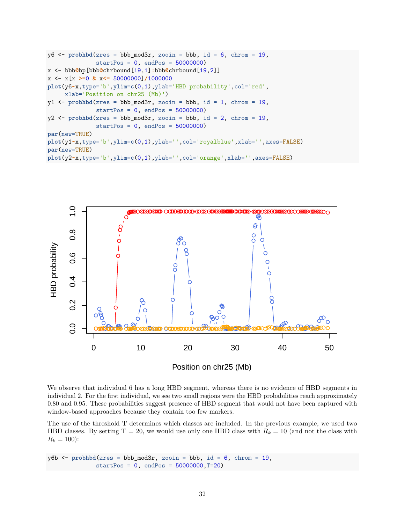```
y6 \leq probhbd(zres = bbb_mod3r, zooin = bbb, id = 6, chrom = 19,
               startPos = 0, endPos = 50000000)
x <- bbb@bp[bbb@chrbound[19,1]:bbb@chrbound[19,2]]
x <- x[x >=0 & x<= 50000000]/1000000
plot(y6~x,type='b',ylim=c(0,1),ylab='HBD probability',col='red',
     xlab='Position on chr25 (Mb)')
y1 \leftarrow \text{probhbd}(zres = \text{bbb\_mod3r}, zooin = \text{bbb}, id = 1, \text{chrom} = 19,startPos = 0, endPos = 50000000)
y2 \leq probhbd(zres = bbb_mod3r, zooin = bbb, id = 2, chrom = 19,
               startPos = 0, endPos = 50000000)
par(new=TRUE)
plot(y1~x,type='b',ylim=c(0,1),ylab='',col='royalblue',xlab='',axes=FALSE)
par(new=TRUE)
plot(y2~x,type='b',ylim=c(0,1),ylab='',col='orange',xlab='',axes=FALSE)
```


We observe that individual 6 has a long HBD segment, whereas there is no evidence of HBD segments in individual 2. For the first individual, we see two small regions were the HBD probabilities reach approximately 0.80 and 0.95. These probabilities suggest presence of HBD segment that would not have been captured with window-based approaches because they contain too few markers.

The use of the threshold T determines which classes are included. In the previous example, we used two HBD classes. By setting  $T = 20$ , we would use only one HBD class with  $R_k = 10$  (and not the class with  $R_k = 100$ :

```
y6b <- probhbd(zres = bbb_mod3r, zooin = bbb, id = 6, chrom = 19,
              startPos = 0, endPos = 50000000, T=20)
```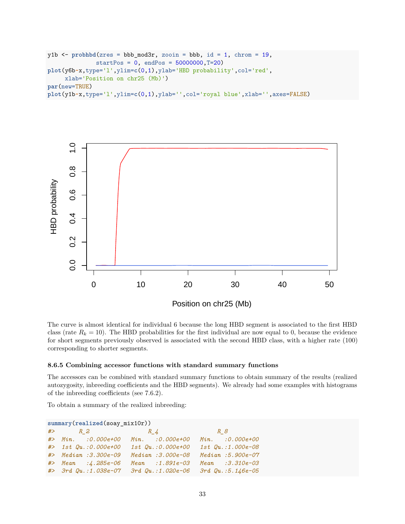```
y1b <- probhbd(zres = bbb_mod3r, zooin = bbb, id = 1, chrom = 19,
              startPos = 0, endPos = 50000000, T=20)plot(y6b~x,type='l',ylim=c(0,1),ylab='HBD probability',col='red',
     xlab='Position on chr25 (Mb)')
par(new=TRUE)
plot(y1b~x,type='l',ylim=c(0,1),ylab='',col='royal blue',xlab='',axes=FALSE)
```


The curve is almost identical for individual 6 because the long HBD segment is associated to the first HBD class (rate  $R_k = 10$ ). The HBD probabilities for the first individual are now equal to 0, because the evidence for short segments previously observed is associated with the second HBD class, with a higher rate (100) corresponding to shorter segments.

#### **8.6.5 Combining accessor functions with standard summary functions**

The accessors can be combined with standard summary functions to obtain summary of the results (realized autozygosity, inbreeding coefficients and the HBD segments). We already had some examples with histograms of the inbreeding coefficients (see 7.6.2).

To obtain a summary of the realized inbreeding:

| $summary(realized(soay_mix10r))$ |                                      |  |                                                          |  |                   |  |  |  |  |  |  |  |
|----------------------------------|--------------------------------------|--|----------------------------------------------------------|--|-------------------|--|--|--|--|--|--|--|
|                                  | $# > R_2$ $R_4$                      |  | $R \sim 8$                                               |  |                   |  |  |  |  |  |  |  |
|                                  | #> Min. : 0.000e+00 Min. : 0.000e+00 |  |                                                          |  | Min. : 0.000e+00  |  |  |  |  |  |  |  |
|                                  | $#$ 1st $Qu. : 0.000e+00$            |  | $1st$ $Qu.:0.000e+00$                                    |  | 1st Qu.:1.000e-08 |  |  |  |  |  |  |  |
|                                  | $#$ Median : 3.300e-09               |  | Median :3.000e-08                                        |  | Median: 5.900e-07 |  |  |  |  |  |  |  |
|                                  | $#$ Mean : $\angle$ . 285e-06        |  | $Mean : 1.891e-03$                                       |  | Mean :3.310e-03   |  |  |  |  |  |  |  |
|                                  |                                      |  | #> 3rd Qu.:1.038e-07 3rd Qu.:1.020e-06 3rd Qu.:5.146e-05 |  |                   |  |  |  |  |  |  |  |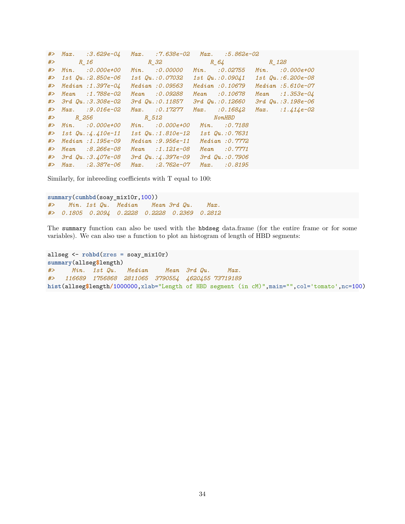|    | $#$ Max. :3.629e-04                    | $Max.$ :7.638e-02 $Max.$                 | :5.862e-02                 |                           |
|----|----------------------------------------|------------------------------------------|----------------------------|---------------------------|
| #> | $R$ 16                                 |                                          | $R_{12}$ $R_{21}$ $R_{12}$ |                           |
|    | :0.000e+00<br>$#$ $Min.$               | Min. 30.00000                            | :0.02755<br>Min.           | Min.<br><i>:0.000e+00</i> |
|    | $#$ > 1st Qu.:2.850e-06                |                                          |                            | 1st Qu.:6.200e-08         |
|    | $#$ Median : 1.397e-04                 | Median :0.09563                          | Median : 0.10679           | $Median : 5.610e-07$      |
|    | #> Mean :1.788e-02                     | Mean : 0.09288                           | Mean : 0.10678             | $Mean : 1.353e-04$        |
|    | $#$ > 3rd $Qu.:3.308e-02$              | 3rd Qu.:0.11857                          | $3rd$ $Qu.:0.12660$        | $3rd$ $Qu.:3.198e-06$     |
|    | $\#$ Max. : 9.016e-02                  | $Max.$ : 0.17277                         | $Max.$ : 0.16842           | $Max.$ : 1.414e-02        |
|    | $#$ R 256 R 512                        |                                          | <i>NonHBD</i>              |                           |
|    | $\#$ Min. : 0.000e+00                  | $Min. 0.000e+00$                         | Min.<br>:0.7188            |                           |
|    | $\#$ > 1st Qu.: $\frac{1}{4}$ .410e-11 | 1st Qu.:1.810e-12 1st Qu.:0.7631         |                            |                           |
|    | $#$ Median : 1.195e-09                 | $Median : 9.956e-11$                     | Median: 0.7772             |                           |
| #> | Mean :8.266e-08                        | $Mean : 1.121e-08$                       | Mean<br>:0.7771            |                           |
|    | $#$ > 3rd $Qu.:3.407e-08$              | $3rd$ $Qu.:4.397e-09$ $3rd$ $Qu.:0.7906$ |                            |                           |
|    | $\#$ Max. : 2.387e-06                  | $Max.$ : $2.762e-07$                     | : 0.8195<br>$Max$ .        |                           |

Similarly, for inbreeding coefficients with T equal to 100:

**summary**(**cumhbd**(soay\_mix10r,100)) *#> Min. 1st Qu. Median Mean 3rd Qu. Max. #> 0.1805 0.2094 0.2228 0.2228 0.2369 0.2812*

The summary function can also be used with the hbdseg data.frame (for the entire frame or for some variables). We can also use a function to plot an histogram of length of HBD segments:

```
allseg <- rohbd(zres = soay_mix10r)
summary(allseg$length)
#> Min. 1st Qu. Median Mean 3rd Qu. Max.
#> 116689 1756868 2811065 3790554 4620455 73719189
hist(allseg$length/1000000,xlab="Length of HBD segment (in cM)",main="",col='tomato',nc=100)
```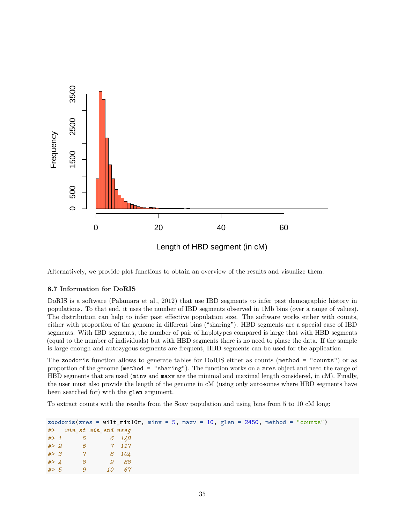

Alternatively, we provide plot functions to obtain an overview of the results and visualize them.

### **8.7 Information for DoRIS**

DoRIS is a software [\(Palamara et al., 2012\)](#page-45-8) that use IBD segments to infer past demographic history in populations. To that end, it uses the number of IBD segments observed in 1Mb bins (over a range of values). The distribution can help to infer past effective population size. The software works either with counts, either with proportion of the genome in different bins ("sharing"). HBD segments are a special case of IBD segments. With IBD segments, the number of pair of haplotypes compared is large that with HBD segments (equal to the number of individuals) but with HBD segments there is no need to phase the data. If the sample is large enough and autozygous segments are frequent, HBD segments can be used for the application.

The zoodoris function allows to generate tables for DoRIS either as counts (method = "counts") or as proportion of the genome (method = "sharing"). The function works on a zres object and need the range of HBD segments that are used (minv and maxv are the minimal and maximal length considered, in cM). Finally, the user must also provide the length of the genome in cM (using only autosomes where HBD segments have been searched for) with the glen argument.

To extract counts with the results from the Soay population and using bins from 5 to 10 cM long:

|  |                        |  |      |  |  |  |  |  | zoodoris(zres = wilt_mix10r, minv = 5, maxv = 10, glen = 2450, method = "counts") |
|--|------------------------|--|------|--|--|--|--|--|-----------------------------------------------------------------------------------|
|  | #> win st win end nseq |  |      |  |  |  |  |  |                                                                                   |
|  | $# > 1$ 5 6 148        |  |      |  |  |  |  |  |                                                                                   |
|  | $# > 2$ 6              |  | 7117 |  |  |  |  |  |                                                                                   |
|  | $# > 3$ 7 8 104        |  |      |  |  |  |  |  |                                                                                   |
|  | #> $4$ 8               |  | 9 88 |  |  |  |  |  |                                                                                   |
|  | $# > 5$ 9              |  |      |  |  |  |  |  |                                                                                   |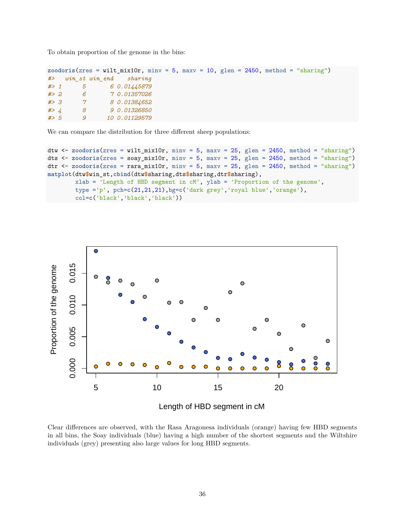To obtain proportion of the genome in the bins:

```
zoodoris(zres = wilt_mix10r, minv = 5, maxv = 10, glen = 2450, method = "sharing")
#> win_st win_end sharing
#> 1 5 6 0.01445879
#> 2 6 7 0.01357026
#> 3 7 8 0.01384652
#> 4 8 9 0.01326850
#> 5 9 10 0.01129579
```
We can compare the distribution for three different sheep populations:

```
dtw <- zoodoris(zres = wilt_mix10r, minv = 5, maxv = 25, glen = 2450, method = "sharing")
dts <- zoodoris(zres = soay_mix10r, minv = 5, maxv = 25, glen = 2450, method = "sharing")
dtr <- zoodoris(zres = rara_mix10r, minv = 5, maxv = 25, glen = 2450, method = "sharing")
matplot(dtw$win_st,cbind(dtw$sharing,dts$sharing,dtr$sharing),
       xlab = 'Length of HBD segment in cM', ylab = 'Proportion of the genome',
        type ='p', pch=c(21,21,21),bg=c('dark grey','royal blue','orange'),
        col=c('black','black','black'))
```


Length of HBD segment in cM

Clear differences are observed, with the Rasa Aragonesa individuals (orange) having few HBD segments in all bins, the Soay individuals (blue) having a high number of the shortest segments and the Wiltshire individuals (grey) presenting also large values for long HBD segments.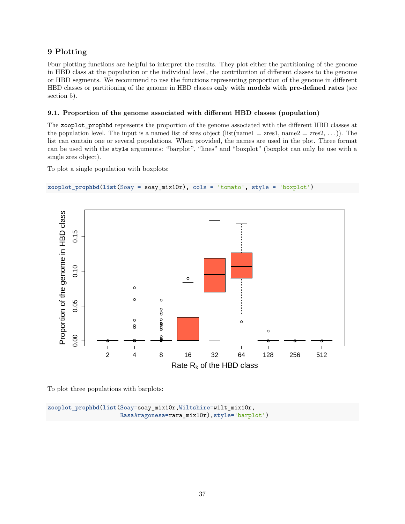# **9 Plotting**

Four plotting functions are helpful to interpret the results. They plot either the partitioning of the genome in HBD class at the population or the individual level, the contribution of different classes to the genome or HBD segments. We recommend to use the functions representing proportion of the genome in different HBD classes or partitioning of the genome in HBD classes **only with models with pre-defined rates** (see section 5).

# **9.1. Proportion of the genome associated with different HBD classes (population)**

The zooplot\_prophbd represents the proportion of the genome associated with the different HBD classes at the population level. The input is a named list of zres object (list(name1 = zres1, name2 = zres2, ...)). The list can contain one or several populations. When provided, the names are used in the plot. Three format can be used with the style arguments: "barplot", "lines" and "boxplot" (boxplot can only be use with a single zres object).

To plot a single population with boxplots:

```
zooplot_prophbd(list(Soay = soay_mix10r), cols = 'tomato', style = 'boxplot')
```


To plot three populations with barplots:

```
zooplot_prophbd(list(Soay=soay_mix10r,Wiltshire=wilt_mix10r,
                     RasaAragonesa=rara_mix10r),style='barplot')
```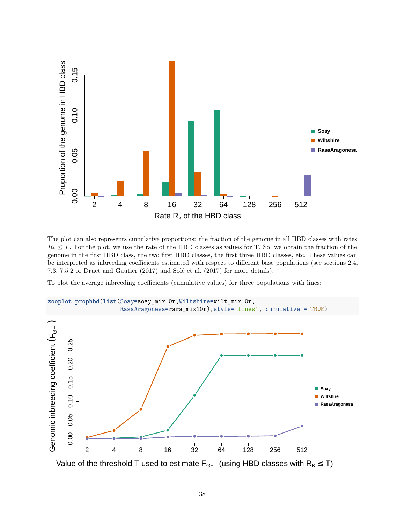

The plot can also represents cumulative proportions: the fraction of the genome in all HBD classes with rates  $R_k \leq T$ . For the plot, we use the rate of the HBD classes as values for T. So, we obtain the fraction of the genome in the first HBD class, the two first HBD classes, the first three HBD classes, etc. These values can be interpreted as inbreeding coefficients estimated with respect to different base populations (see sections 2.4, 7.3, 7.5.2 or [Druet and Gautier](#page-44-2) [\(2017\)](#page-44-2) and [Solé et al.](#page-45-2) [\(2017\)](#page-45-2) for more details).

To plot the average inbreeding coefficients (cumulative values) for three populations with lines:

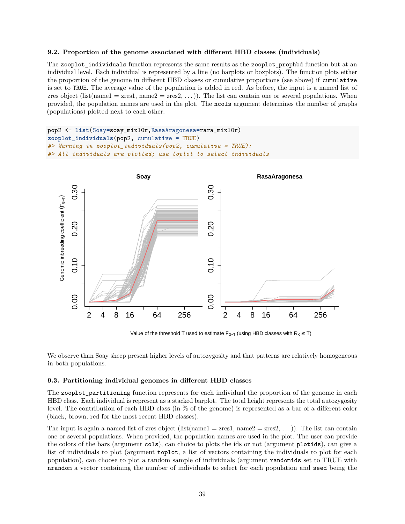#### **9.2. Proportion of the genome associated with different HBD classes (individuals)**

The zooplot individuals function represents the same results as the zooplot prophbd function but at an individual level. Each individual is represented by a line (no barplots or boxplots). The function plots either the proportion of the genome in different HBD classes or cumulative proportions (see above) if cumulative is set to TRUE. The average value of the population is added in red. As before, the input is a named list of zres object (list(name1 = zres1, name2 = zres2, ...)). The list can contain one or several populations. When provided, the population names are used in the plot. The ncols argument determines the number of graphs (populations) plotted next to each other.

```
pop2 <- list(Soay=soay_mix10r,RasaAragonesa=rara_mix10r)
zooplot_individuals(pop2, cumulative = TRUE)
#> Warning in zooplot_individuals(pop2, cumulative = TRUE):
#> All individuals are plotted; use toplot to select individuals
```
![](_page_38_Figure_3.jpeg)

Value of the threshold T used to estimate  $F_{G-T}$  (using HBD classes with  $R_K \leq T$ )

We observe than Soay sheep present higher levels of autozygosity and that patterns are relatively homogeneous in both populations.

#### **9.3. Partitioning individual genomes in different HBD classes**

The zooplot\_partitioning function represents for each individual the proportion of the genome in each HBD class. Each individual is represent as a stacked barplot. The total height represents the total autozygosity level. The contribution of each HBD class (in % of the genome) is represented as a bar of a different color (black, brown, red for the most recent HBD classes).

The input is again a named list of zres object (list(name1 = zres1, name2 = zres2, ...)). The list can contain one or several populations. When provided, the population names are used in the plot. The user can provide the colors of the bars (argument cols), can choice to plots the ids or not (argument plotids), can give a list of individuals to plot (argument toplot, a list of vectors containing the individuals to plot for each population), can choose to plot a random sample of individuals (argument randomids set to TRUE with nrandom a vector containing the number of individuals to select for each population and seed being the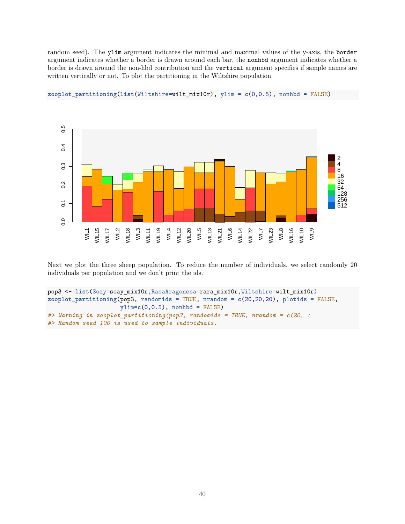random seed). The ylim argument indicates the minimal and maximal values of the y-axis, the border argument indicates whether a border is drawn around each bar, the nonhbd argument indicates whether a border is drawn around the non-hbd contribution and the vertical argument specifies if sample names are written vertically or not. To plot the partitioning in the Wiltshire population:

![](_page_39_Figure_1.jpeg)

**zooplot\_partitioning**(**list**(Wiltshire=wilt\_mix10r), ylim = **c**(0,0.5), nonhbd = FALSE)

Next we plot the three sheep population. To reduce the number of individuals, we select randomly 20 individuals per population and we don't print the ids.

```
pop3 <- list(Soay=soay_mix10r,RasaAragonesa=rara_mix10r,Wiltshire=wilt_mix10r)
zooplot_partitioning(pop3, randomids = TRUE, nrandom = c(20,20,20), plotids = FALSE,
                     ylim=c(0,0.5), nonhbd = FALSE)
#> Warning in zooplot_partitioning(pop3, randomids = TRUE, nrandom = c(20, :
#> Random seed 100 is used to sample individuals.
```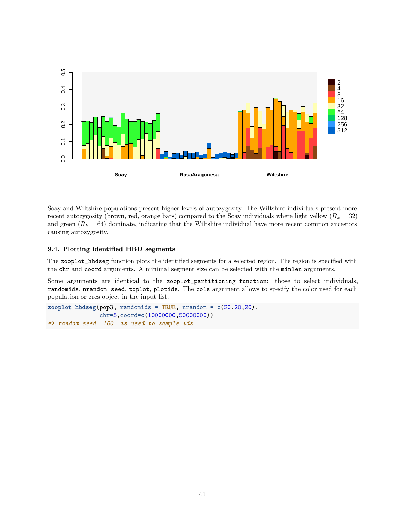![](_page_40_Figure_0.jpeg)

Soay and Wiltshire populations present higher levels of autozygosity. The Wiltshire individuals present more recent autozygosity (brown, red, orange bars) compared to the Soay individuals where light yellow  $(R_k = 32)$ and green  $(R_k = 64)$  dominate, indicating that the Wiltshire individual have more recent common ancestors causing autozygosity.

### **9.4. Plotting identified HBD segments**

The zooplot\_hbdseg function plots the identified segments for a selected region. The region is specified with the chr and coord arguments. A minimal segment size can be selected with the minlen arguments.

Some arguments are identical to the zooplot\_partitioning function: those to select individuals, randomids, nrandom, seed, toplot, plotids. The cols argument allows to specify the color used for each population or zres object in the input list.

```
zooplot_hbdseg(pop3, randomids = TRUE, nrandom = c(20,20,20),
               chr=5,coord=c(10000000,50000000))
#> random seed 100 is used to sample ids
```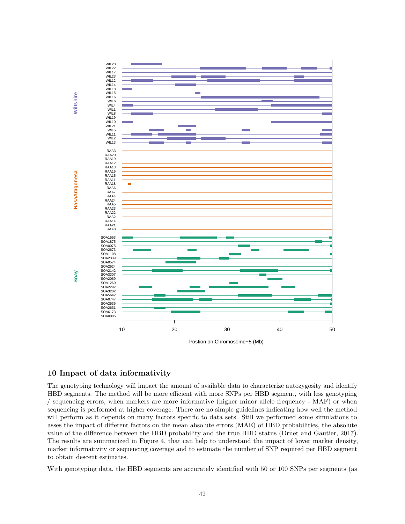![](_page_41_Figure_0.jpeg)

# **10 Impact of data informativity**

The genotyping technology will impact the amount of available data to characterize autozygosity and identify HBD segments. The method will be more efficient with more SNPs per HBD segment, with less genotyping / sequencing errors, when markers are more informative (higher minor allele frequency - MAF) or when sequencing is performed at higher coverage. There are no simple guidelines indicating how well the method will perform as it depends on many factors specific to data sets. Still we performed some simulations to asses the impact of different factors on the mean absolute errors (MAE) of HBD probabilities, the absolute value of the difference between the HBD probability and the true HBD status [\(Druet and Gautier, 2017\)](#page-44-2). The results are summarized in Figure 4, that can help to understand the impact of lower marker density, marker informativity or sequencing coverage and to estimate the number of SNP required per HBD segment to obtain descent estimates.

With genotyping data, the HBD segments are accurately identified with 50 or 100 SNPs per segments (as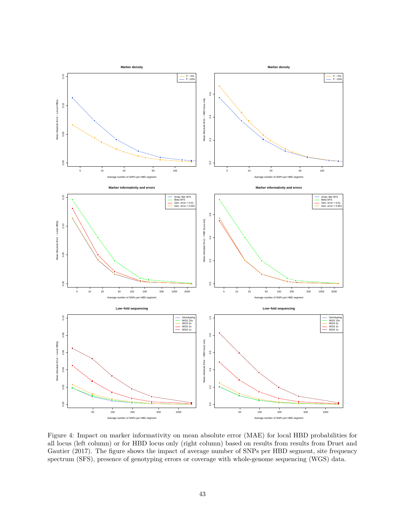![](_page_42_Figure_0.jpeg)

Figure 4: Impact on marker informativity on mean absolute error (MAE) for local HBD probabilities for all locus (left column) or for HBD locus only (right column) based on results from results from Druet and Gautier (2017). The figure shows the impact of average number of SNPs per HBD segment, site frequency spectrum (SFS), presence of genotyping errors or coverage with whole-genome sequencing (WGS) data.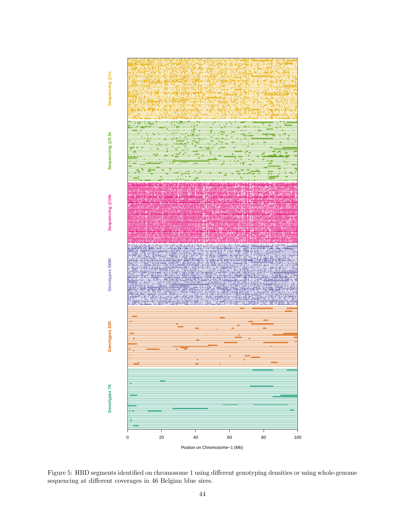![](_page_43_Figure_0.jpeg)

Figure 5: HBD segments identified on chromosome 1 using different genotyping densities or using whole-genome sequencing at different coverages in 46 Belgian blue sires.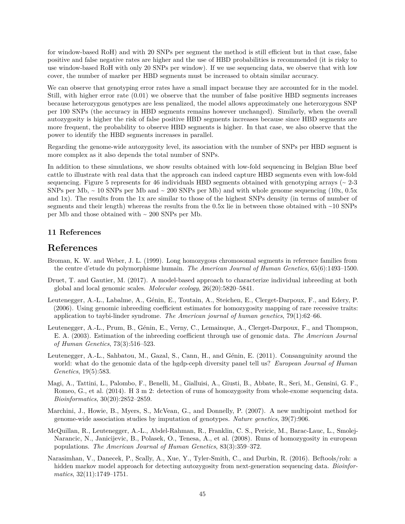for window-based RoH) and with 20 SNPs per segment the method is still efficient but in that case, false positive and false negative rates are higher and the use of HBD probabilities is recommended (it is risky to use window-based RoH with only 20 SNPs per window). If we use sequencing data, we observe that with low cover, the number of marker per HBD segments must be increased to obtain similar accuracy.

We can observe that genotyping error rates have a small impact because they are accounted for in the model. Still, with higher error rate (0.01) we observe that the number of false positive HBD segments increases because heterozygous genotypes are less penalized, the model allows approximately one heterozygous SNP per 100 SNPs (the accuracy in HBD segments remains however unchanged). Similarly, when the overall autozygosity is higher the risk of false positive HBD segments increases because since HBD segments are more frequent, the probability to observe HBD segments is higher. In that case, we also observe that the power to identify the HBD segments increases in parallel.

Regarding the genome-wide autozygosity level, its association with the number of SNPs per HBD segment is more complex as it also depends the total number of SNPs.

In addition to these simulations, we show results obtained with low-fold sequencing in Belgian Blue beef cattle to illustrate with real data that the approach can indeed capture HBD segments even with low-fold sequencing. Figure 5 represents for 46 individuals HBD segments obtained with genotyping arrays ( $\sim$  2-3 SNPs per Mb,  $\sim$  10 SNPs per Mb and  $\sim$  200 SNPs per Mb) and with whole genome sequencing (10x, 0.5x) and 1x). The results from the 1x are similar to those of the highest SNPs density (in terms of number of segments and their length) whereas the results from the 0.5x lie in between those obtained with ~10 SNPs per Mb and those obtained with  $\sim 200$  SNPs per Mb.

# **11 References**

# **References**

- <span id="page-44-5"></span>Broman, K. W. and Weber, J. L. (1999). Long homozygous chromosomal segments in reference families from the centre d'etude du polymorphisme humain. *The American Journal of Human Genetics*, 65(6):1493–1500.
- <span id="page-44-2"></span>Druet, T. and Gautier, M. (2017). A model-based approach to characterize individual inbreeding at both global and local genomic scales. *Molecular ecology*, 26(20):5820–5841.
- <span id="page-44-3"></span>Leutenegger, A.-L., Labalme, A., Génin, E., Toutain, A., Steichen, E., Clerget-Darpoux, F., and Edery, P. (2006). Using genomic inbreeding coefficient estimates for homozygosity mapping of rare recessive traits: application to taybi-linder syndrome. *The American journal of human genetics*, 79(1):62–66.
- <span id="page-44-0"></span>Leutenegger, A.-L., Prum, B., Génin, E., Verny, C., Lemainque, A., Clerget-Darpoux, F., and Thompson, E. A. (2003). Estimation of the inbreeding coefficient through use of genomic data. *The American Journal of Human Genetics*, 73(3):516–523.
- <span id="page-44-7"></span>Leutenegger, A.-L., Sahbatou, M., Gazal, S., Cann, H., and Génin, E. (2011). Consanguinity around the world: what do the genomic data of the hgdp-ceph diversity panel tell us? *European Journal of Human Genetics*, 19(5):583.
- <span id="page-44-6"></span>Magi, A., Tattini, L., Palombo, F., Benelli, M., Gialluisi, A., Giusti, B., Abbate, R., Seri, M., Gensini, G. F., Romeo, G., et al. (2014). H 3 m 2: detection of runs of homozygosity from whole-exome sequencing data. *Bioinformatics*, 30(20):2852–2859.
- <span id="page-44-8"></span>Marchini, J., Howie, B., Myers, S., McVean, G., and Donnelly, P. (2007). A new multipoint method for genome-wide association studies by imputation of genotypes. *Nature genetics*, 39(7):906.
- <span id="page-44-4"></span>McQuillan, R., Leutenegger, A.-L., Abdel-Rahman, R., Franklin, C. S., Pericic, M., Barac-Lauc, L., Smolej-Narancic, N., Janicijevic, B., Polasek, O., Tenesa, A., et al. (2008). Runs of homozygosity in european populations. *The American Journal of Human Genetics*, 83(3):359–372.
- <span id="page-44-1"></span>Narasimhan, V., Danecek, P., Scally, A., Xue, Y., Tyler-Smith, C., and Durbin, R. (2016). Bcftools/roh: a hidden markov model approach for detecting autozygosity from next-generation sequencing data. *Bioinformatics*, 32(11):1749–1751.